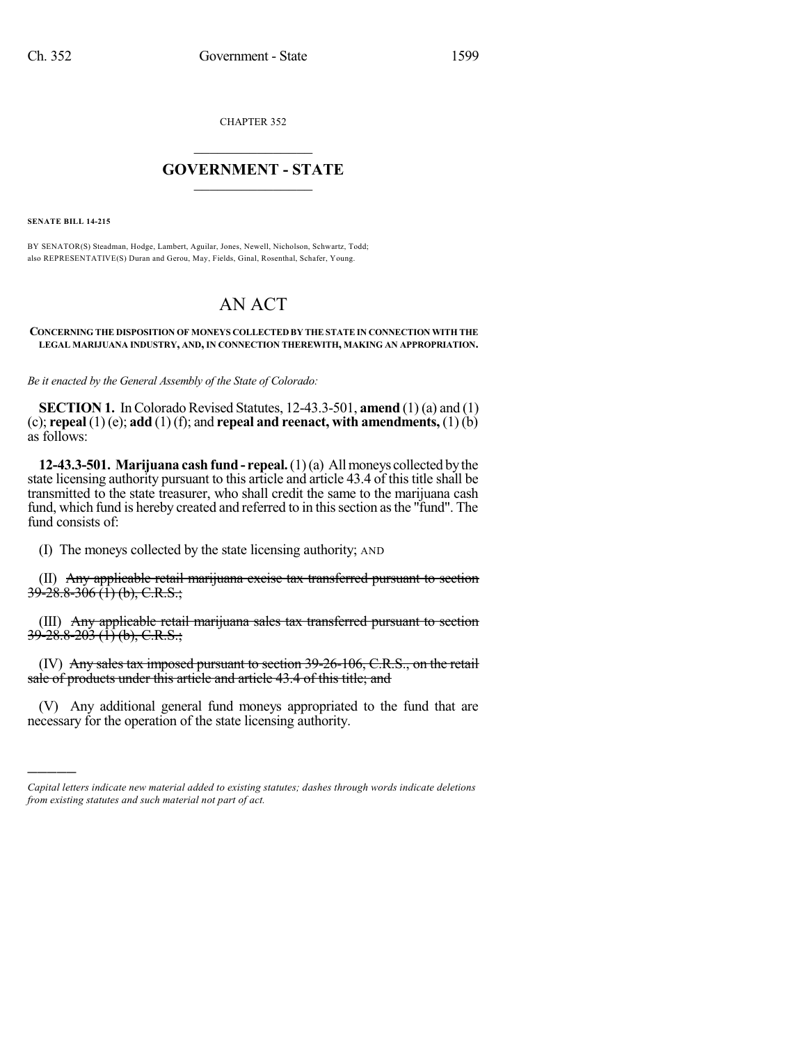CHAPTER 352

## $\overline{\phantom{a}}$  . The set of the set of the set of the set of the set of the set of the set of the set of the set of the set of the set of the set of the set of the set of the set of the set of the set of the set of the set o **GOVERNMENT - STATE**  $\_$

**SENATE BILL 14-215**

)))))

BY SENATOR(S) Steadman, Hodge, Lambert, Aguilar, Jones, Newell, Nicholson, Schwartz, Todd; also REPRESENTATIVE(S) Duran and Gerou, May, Fields, Ginal, Rosenthal, Schafer, Young.

# AN ACT

#### **CONCERNING THE DISPOSITION OF MONEYS COLLECTED BY THE STATE IN CONNECTION WITH THE LEGAL MARIJUANA INDUSTRY, AND, IN CONNECTION THEREWITH, MAKING AN APPROPRIATION.**

*Be it enacted by the General Assembly of the State of Colorado:*

**SECTION 1.** In Colorado Revised Statutes, 12-43.3-501, **amend** (1) (a) and (1) (c); **repeal** (1) (e); **add** (1) (f); and **repeal and reenact, with amendments,** (1) (b) as follows:

**12-43.3-501. Marijuana cash fund- repeal.**(1)(a) Allmoneys collected bythe state licensing authority pursuant to this article and article 43.4 of this title shall be transmitted to the state treasurer, who shall credit the same to the marijuana cash fund, which fund is hereby created and referred to in this section as the "fund". The fund consists of:

(I) The moneys collected by the state licensing authority; AND

(II) Any applicable retail marijuana excise tax transferred pursuant to section  $39-28.8-306$  (1) (b), C.R.S.;

(III) Any applicable retail marijuana sales tax transferred pursuant to section  $39-28.8-203$  (1) (b), C.R.S.;

(IV) Any sales tax imposed pursuant to section 39-26-106, C.R.S., on the retail sale of products under this article and article 43.4 of this title; and

(V) Any additional general fund moneys appropriated to the fund that are necessary for the operation of the state licensing authority.

*Capital letters indicate new material added to existing statutes; dashes through words indicate deletions from existing statutes and such material not part of act.*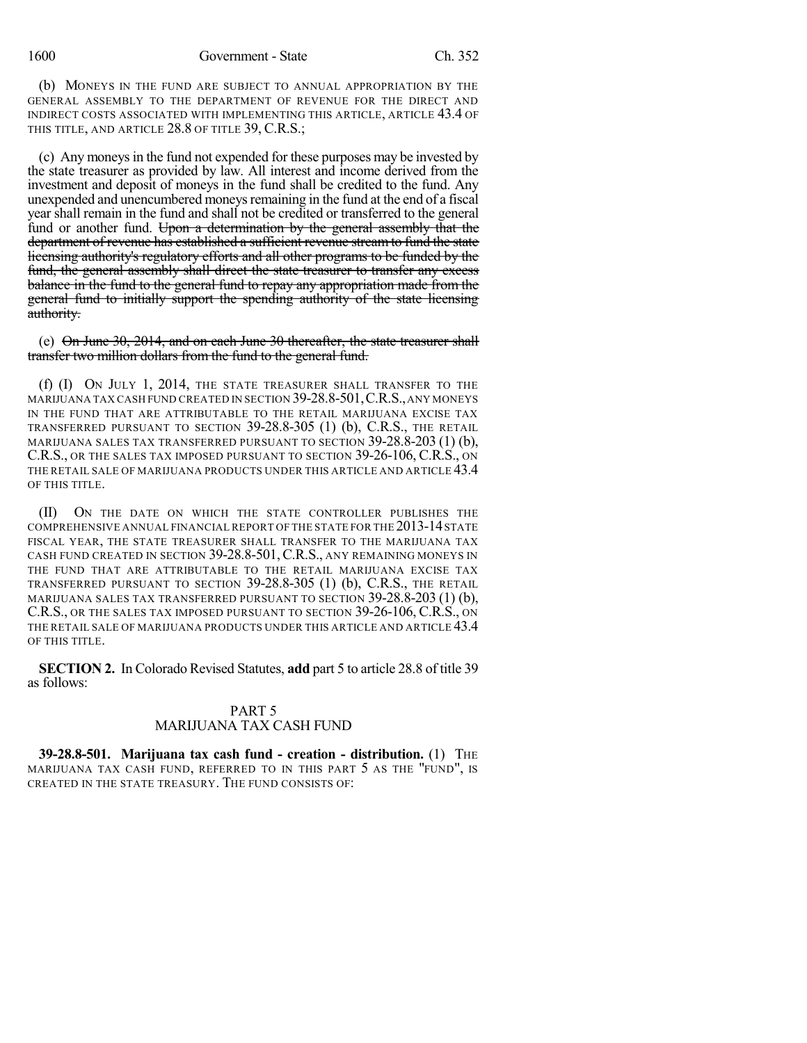1600 Government - State Ch. 352

(b) MONEYS IN THE FUND ARE SUBJECT TO ANNUAL APPROPRIATION BY THE GENERAL ASSEMBLY TO THE DEPARTMENT OF REVENUE FOR THE DIRECT AND INDIRECT COSTS ASSOCIATED WITH IMPLEMENTING THIS ARTICLE, ARTICLE 43.4 OF THIS TITLE, AND ARTICLE 28.8 OF TITLE 39, C.R.S.;

(c) Any moneysin the fund not expended for these purposes may be invested by the state treasurer as provided by law. All interest and income derived from the investment and deposit of moneys in the fund shall be credited to the fund. Any unexpended and unencumbered moneys remaining in the fund at the end of a fiscal year shall remain in the fund and shall not be credited or transferred to the general fund or another fund. Upon a determination by the general assembly that the department of revenue has established a sufficient revenue stream to fund the state licensing authority's regulatory efforts and all other programs to be funded by the fund, the general assembly shall direct the state treasurer to transfer any excess balance in the fund to the general fund to repay any appropriation made from the general fund to initially support the spending authority of the state licensing authority.

(e)  $\Theta$  on June 30, 2014, and on each June 30 thereafter, the state treasurer shall transfer two million dollars from the fund to the general fund.

(f) (I) ON JULY 1, 2014, THE STATE TREASURER SHALL TRANSFER TO THE MARIJUANA TAX CASH FUND CREATED IN SECTION 39-28.8-501,C.R.S.,ANY MONEYS IN THE FUND THAT ARE ATTRIBUTABLE TO THE RETAIL MARIJUANA EXCISE TAX TRANSFERRED PURSUANT TO SECTION 39-28.8-305 (1) (b), C.R.S., THE RETAIL MARIJUANA SALES TAX TRANSFERRED PURSUANT TO SECTION 39-28.8-203 (1) (b), C.R.S., OR THE SALES TAX IMPOSED PURSUANT TO SECTION 39-26-106, C.R.S., ON THE RETAIL SALE OF MARIJUANA PRODUCTS UNDER THIS ARTICLE AND ARTICLE 43.4 OF THIS TITLE.

(II) ON THE DATE ON WHICH THE STATE CONTROLLER PUBLISHES THE COMPREHENSIVE ANNUAL FINANCIAL REPORT OF THE STATE FOR THE 2013-14 STATE FISCAL YEAR, THE STATE TREASURER SHALL TRANSFER TO THE MARIJUANA TAX CASH FUND CREATED IN SECTION 39-28.8-501,C.R.S., ANY REMAINING MONEYS IN THE FUND THAT ARE ATTRIBUTABLE TO THE RETAIL MARIJUANA EXCISE TAX TRANSFERRED PURSUANT TO SECTION 39-28.8-305 (1) (b), C.R.S., THE RETAIL MARIJUANA SALES TAX TRANSFERRED PURSUANT TO SECTION 39-28.8-203 (1) (b), C.R.S., OR THE SALES TAX IMPOSED PURSUANT TO SECTION 39-26-106, C.R.S., ON THE RETAIL SALE OF MARIJUANA PRODUCTS UNDER THIS ARTICLE AND ARTICLE 43.4 OF THIS TITLE.

**SECTION 2.** In Colorado Revised Statutes, **add** part 5 to article 28.8 of title 39 as follows:

### PART 5 MARIJUANA TAX CASH FUND

**39-28.8-501. Marijuana tax cash fund - creation - distribution.** (1) THE MARIJUANA TAX CASH FUND, REFERRED TO IN THIS PART 5 AS THE "FUND", IS CREATED IN THE STATE TREASURY. THE FUND CONSISTS OF: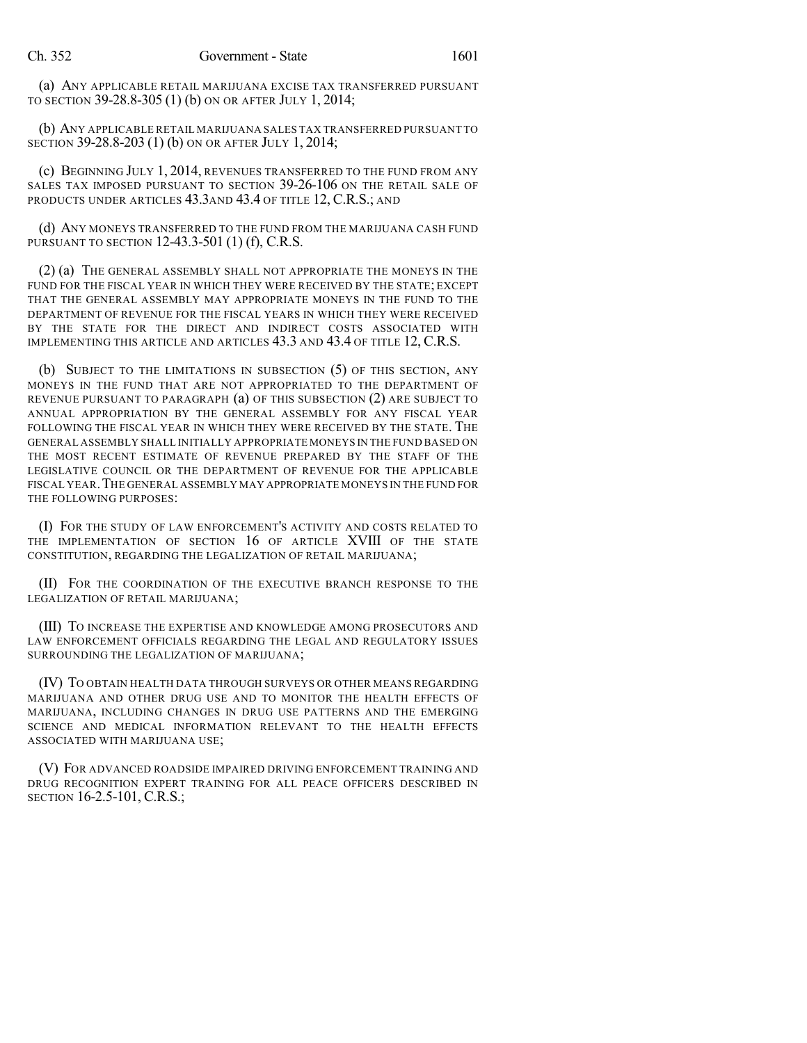(a) ANY APPLICABLE RETAIL MARIJUANA EXCISE TAX TRANSFERRED PURSUANT TO SECTION 39-28.8-305 (1) (b) ON OR AFTER JULY 1, 2014;

(b) ANY APPLICABLE RETAIL MARIJUANA SALES TAX TRANSFERRED PURSUANT TO SECTION 39-28.8-203 (1) (b) ON OR AFTER JULY 1, 2014;

(c) BEGINNING JULY 1, 2014, REVENUES TRANSFERRED TO THE FUND FROM ANY SALES TAX IMPOSED PURSUANT TO SECTION 39-26-106 ON THE RETAIL SALE OF PRODUCTS UNDER ARTICLES 43.3AND 43.4 OF TITLE 12, C.R.S.; AND

(d) ANY MONEYS TRANSFERRED TO THE FUND FROM THE MARIJUANA CASH FUND PURSUANT TO SECTION 12-43.3-501 (1) (f), C.R.S.

(2) (a) THE GENERAL ASSEMBLY SHALL NOT APPROPRIATE THE MONEYS IN THE FUND FOR THE FISCAL YEAR IN WHICH THEY WERE RECEIVED BY THE STATE; EXCEPT THAT THE GENERAL ASSEMBLY MAY APPROPRIATE MONEYS IN THE FUND TO THE DEPARTMENT OF REVENUE FOR THE FISCAL YEARS IN WHICH THEY WERE RECEIVED BY THE STATE FOR THE DIRECT AND INDIRECT COSTS ASSOCIATED WITH IMPLEMENTING THIS ARTICLE AND ARTICLES 43.3 AND 43.4 OF TITLE 12, C.R.S.

(b) SUBJECT TO THE LIMITATIONS IN SUBSECTION (5) OF THIS SECTION, ANY MONEYS IN THE FUND THAT ARE NOT APPROPRIATED TO THE DEPARTMENT OF REVENUE PURSUANT TO PARAGRAPH (a) OF THIS SUBSECTION (2) ARE SUBJECT TO ANNUAL APPROPRIATION BY THE GENERAL ASSEMBLY FOR ANY FISCAL YEAR FOLLOWING THE FISCAL YEAR IN WHICH THEY WERE RECEIVED BY THE STATE. THE GENERAL ASSEMBLY SHALL INITIALLY APPROPRIATE MONEYS IN THE FUND BASED ON THE MOST RECENT ESTIMATE OF REVENUE PREPARED BY THE STAFF OF THE LEGISLATIVE COUNCIL OR THE DEPARTMENT OF REVENUE FOR THE APPLICABLE FISCAL YEAR.THE GENERAL ASSEMBLY MAY APPROPRIATE MONEYS IN THE FUND FOR THE FOLLOWING PURPOSES:

(I) FOR THE STUDY OF LAW ENFORCEMENT'S ACTIVITY AND COSTS RELATED TO THE IMPLEMENTATION OF SECTION 16 OF ARTICLE XVIII OF THE STATE CONSTITUTION, REGARDING THE LEGALIZATION OF RETAIL MARIJUANA;

(II) FOR THE COORDINATION OF THE EXECUTIVE BRANCH RESPONSE TO THE LEGALIZATION OF RETAIL MARIJUANA;

(III) TO INCREASE THE EXPERTISE AND KNOWLEDGE AMONG PROSECUTORS AND LAW ENFORCEMENT OFFICIALS REGARDING THE LEGAL AND REGULATORY ISSUES SURROUNDING THE LEGALIZATION OF MARIJUANA;

(IV) TO OBTAIN HEALTH DATA THROUGH SURVEYS OR OTHER MEANS REGARDING MARIJUANA AND OTHER DRUG USE AND TO MONITOR THE HEALTH EFFECTS OF MARIJUANA, INCLUDING CHANGES IN DRUG USE PATTERNS AND THE EMERGING SCIENCE AND MEDICAL INFORMATION RELEVANT TO THE HEALTH EFFECTS ASSOCIATED WITH MARIJUANA USE;

(V) FOR ADVANCED ROADSIDE IMPAIRED DRIVING ENFORCEMENT TRAINING AND DRUG RECOGNITION EXPERT TRAINING FOR ALL PEACE OFFICERS DESCRIBED IN SECTION 16-2.5-101, C.R.S.;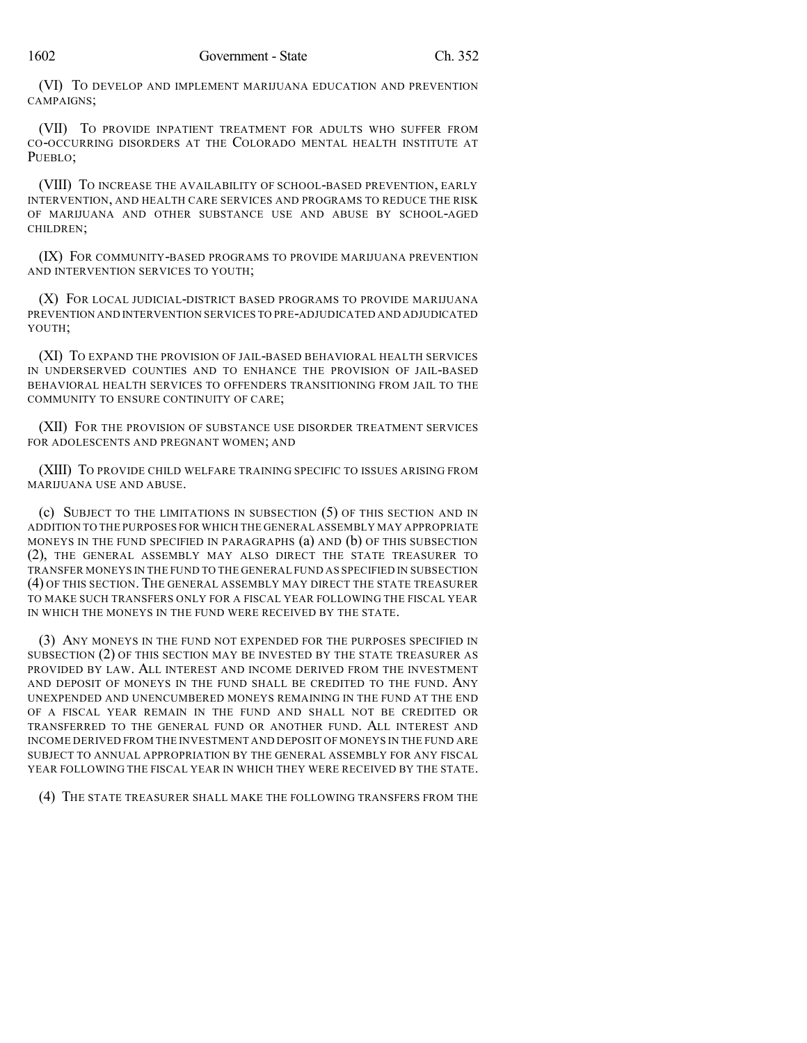(VI) TO DEVELOP AND IMPLEMENT MARIJUANA EDUCATION AND PREVENTION CAMPAIGNS;

(VII) TO PROVIDE INPATIENT TREATMENT FOR ADULTS WHO SUFFER FROM CO-OCCURRING DISORDERS AT THE COLORADO MENTAL HEALTH INSTITUTE AT PUEBLO:

(VIII) TO INCREASE THE AVAILABILITY OF SCHOOL-BASED PREVENTION, EARLY INTERVENTION, AND HEALTH CARE SERVICES AND PROGRAMS TO REDUCE THE RISK OF MARIJUANA AND OTHER SUBSTANCE USE AND ABUSE BY SCHOOL-AGED CHILDREN;

(IX) FOR COMMUNITY-BASED PROGRAMS TO PROVIDE MARIJUANA PREVENTION AND INTERVENTION SERVICES TO YOUTH;

(X) FOR LOCAL JUDICIAL-DISTRICT BASED PROGRAMS TO PROVIDE MARIJUANA PREVENTION AND INTERVENTION SERVICES TO PRE-ADJUDICATED AND ADJUDICATED YOUTH;

(XI) TO EXPAND THE PROVISION OF JAIL-BASED BEHAVIORAL HEALTH SERVICES IN UNDERSERVED COUNTIES AND TO ENHANCE THE PROVISION OF JAIL-BASED BEHAVIORAL HEALTH SERVICES TO OFFENDERS TRANSITIONING FROM JAIL TO THE COMMUNITY TO ENSURE CONTINUITY OF CARE;

(XII) FOR THE PROVISION OF SUBSTANCE USE DISORDER TREATMENT SERVICES FOR ADOLESCENTS AND PREGNANT WOMEN; AND

(XIII) TO PROVIDE CHILD WELFARE TRAINING SPECIFIC TO ISSUES ARISING FROM MARIJUANA USE AND ABUSE.

(c) SUBJECT TO THE LIMITATIONS IN SUBSECTION (5) OF THIS SECTION AND IN ADDITION TO THE PURPOSES FOR WHICH THE GENERAL ASSEMBLY MAY APPROPRIATE MONEYS IN THE FUND SPECIFIED IN PARAGRAPHS (a) AND (b) OF THIS SUBSECTION (2), THE GENERAL ASSEMBLY MAY ALSO DIRECT THE STATE TREASURER TO TRANSFER MONEYS IN THE FUND TO THE GENERAL FUND AS SPECIFIED IN SUBSECTION (4) OF THIS SECTION. THE GENERAL ASSEMBLY MAY DIRECT THE STATE TREASURER TO MAKE SUCH TRANSFERS ONLY FOR A FISCAL YEAR FOLLOWING THE FISCAL YEAR IN WHICH THE MONEYS IN THE FUND WERE RECEIVED BY THE STATE.

(3) ANY MONEYS IN THE FUND NOT EXPENDED FOR THE PURPOSES SPECIFIED IN SUBSECTION (2) OF THIS SECTION MAY BE INVESTED BY THE STATE TREASURER AS PROVIDED BY LAW. ALL INTEREST AND INCOME DERIVED FROM THE INVESTMENT AND DEPOSIT OF MONEYS IN THE FUND SHALL BE CREDITED TO THE FUND. ANY UNEXPENDED AND UNENCUMBERED MONEYS REMAINING IN THE FUND AT THE END OF A FISCAL YEAR REMAIN IN THE FUND AND SHALL NOT BE CREDITED OR TRANSFERRED TO THE GENERAL FUND OR ANOTHER FUND. ALL INTEREST AND INCOME DERIVED FROM THE INVESTMENT AND DEPOSIT OF MONEYS IN THE FUND ARE SUBJECT TO ANNUAL APPROPRIATION BY THE GENERAL ASSEMBLY FOR ANY FISCAL YEAR FOLLOWING THE FISCAL YEAR IN WHICH THEY WERE RECEIVED BY THE STATE.

(4) THE STATE TREASURER SHALL MAKE THE FOLLOWING TRANSFERS FROM THE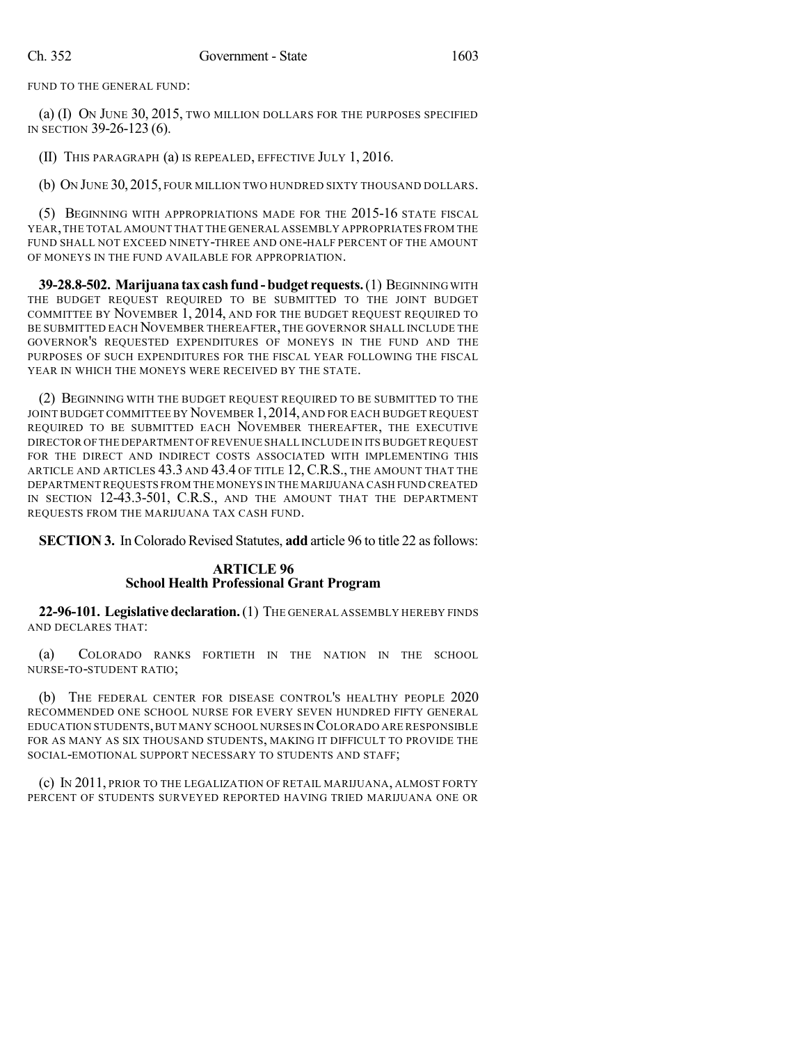FUND TO THE GENERAL FUND:

(a) (I) ON JUNE 30, 2015, TWO MILLION DOLLARS FOR THE PURPOSES SPECIFIED IN SECTION 39-26-123 (6).

(II) THIS PARAGRAPH (a) IS REPEALED, EFFECTIVE JULY 1, 2016.

(b) ON JUNE 30, 2015, FOUR MILLION TWO HUNDRED SIXTY THOUSAND DOLLARS.

(5) BEGINNING WITH APPROPRIATIONS MADE FOR THE 2015-16 STATE FISCAL YEAR,THE TOTAL AMOUNT THAT THE GENERAL ASSEMBLY APPROPRIATES FROM THE FUND SHALL NOT EXCEED NINETY-THREE AND ONE-HALF PERCENT OF THE AMOUNT OF MONEYS IN THE FUND AVAILABLE FOR APPROPRIATION.

**39-28.8-502. Marijuana tax cashfund-budget requests.**(1) BEGINNING WITH THE BUDGET REQUEST REQUIRED TO BE SUBMITTED TO THE JOINT BUDGET COMMITTEE BY NOVEMBER 1, 2014, AND FOR THE BUDGET REQUEST REQUIRED TO BE SUBMITTED EACH NOVEMBER THEREAFTER, THE GOVERNOR SHALL INCLUDE THE GOVERNOR'S REQUESTED EXPENDITURES OF MONEYS IN THE FUND AND THE PURPOSES OF SUCH EXPENDITURES FOR THE FISCAL YEAR FOLLOWING THE FISCAL YEAR IN WHICH THE MONEYS WERE RECEIVED BY THE STATE.

(2) BEGINNING WITH THE BUDGET REQUEST REQUIRED TO BE SUBMITTED TO THE JOINT BUDGET COMMITTEE BY NOVEMBER 1, 2014, AND FOR EACH BUDGET REQUEST REQUIRED TO BE SUBMITTED EACH NOVEMBER THEREAFTER, THE EXECUTIVE DIRECTOR OFTHE DEPARTMENT OF REVENUE SHALL INCLUDE IN ITS BUDGET REQUEST FOR THE DIRECT AND INDIRECT COSTS ASSOCIATED WITH IMPLEMENTING THIS ARTICLE AND ARTICLES 43.3 AND 43.4 OF TITLE 12, C.R.S., THE AMOUNT THAT THE DEPARTMENT REQUESTS FROM THE MONEYS IN THE MARIJUANA CASH FUND CREATED IN SECTION 12-43.3-501, C.R.S., AND THE AMOUNT THAT THE DEPARTMENT REQUESTS FROM THE MARIJUANA TAX CASH FUND.

**SECTION 3.** In Colorado Revised Statutes, **add** article 96 to title 22 as follows:

### **ARTICLE 96 School Health Professional Grant Program**

**22-96-101. Legislativedeclaration.**(1) THE GENERAL ASSEMBLY HEREBY FINDS AND DECLARES THAT:

(a) COLORADO RANKS FORTIETH IN THE NATION IN THE SCHOOL NURSE-TO-STUDENT RATIO;

(b) THE FEDERAL CENTER FOR DISEASE CONTROL'S HEALTHY PEOPLE 2020 RECOMMENDED ONE SCHOOL NURSE FOR EVERY SEVEN HUNDRED FIFTY GENERAL EDUCATION STUDENTS,BUT MANY SCHOOL NURSES IN COLORADO ARE RESPONSIBLE FOR AS MANY AS SIX THOUSAND STUDENTS, MAKING IT DIFFICULT TO PROVIDE THE SOCIAL-EMOTIONAL SUPPORT NECESSARY TO STUDENTS AND STAFF;

(c) IN 2011, PRIOR TO THE LEGALIZATION OF RETAIL MARIJUANA, ALMOST FORTY PERCENT OF STUDENTS SURVEYED REPORTED HAVING TRIED MARIJUANA ONE OR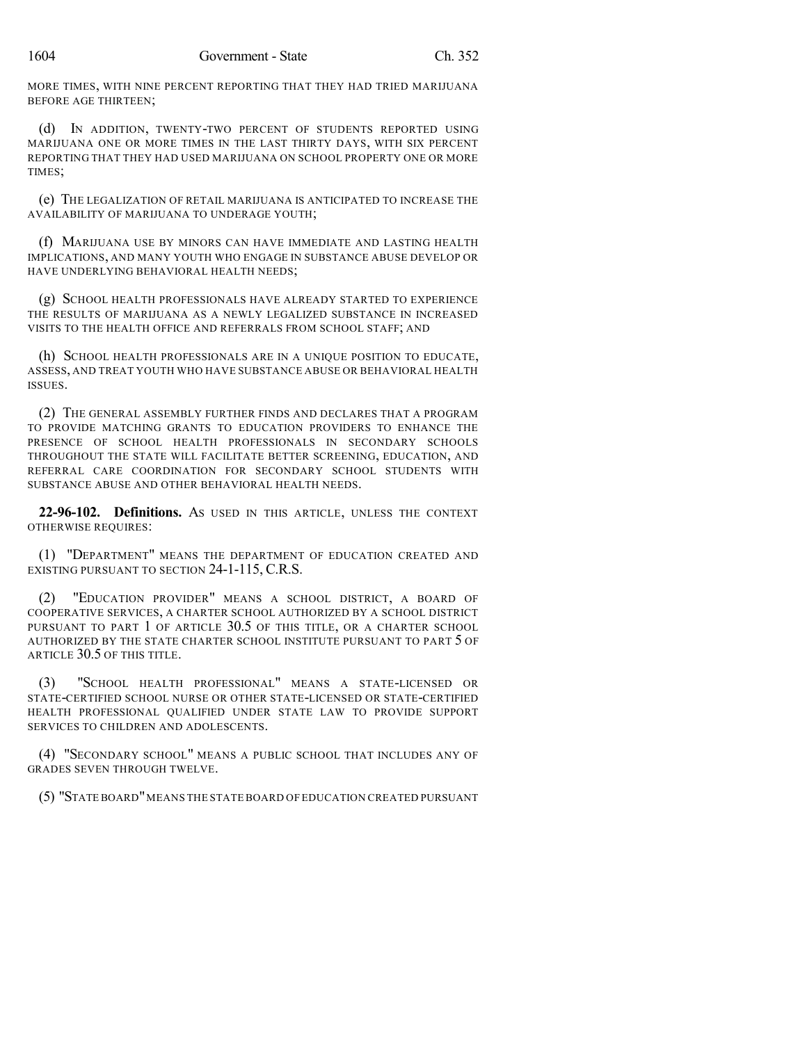MORE TIMES, WITH NINE PERCENT REPORTING THAT THEY HAD TRIED MARIJUANA BEFORE AGE THIRTEEN;

(d) IN ADDITION, TWENTY-TWO PERCENT OF STUDENTS REPORTED USING MARIJUANA ONE OR MORE TIMES IN THE LAST THIRTY DAYS, WITH SIX PERCENT REPORTING THAT THEY HAD USED MARIJUANA ON SCHOOL PROPERTY ONE OR MORE TIMES;

(e) THE LEGALIZATION OF RETAIL MARIJUANA IS ANTICIPATED TO INCREASE THE AVAILABILITY OF MARIJUANA TO UNDERAGE YOUTH;

(f) MARIJUANA USE BY MINORS CAN HAVE IMMEDIATE AND LASTING HEALTH IMPLICATIONS, AND MANY YOUTH WHO ENGAGE IN SUBSTANCE ABUSE DEVELOP OR HAVE UNDERLYING BEHAVIORAL HEALTH NEEDS;

(g) SCHOOL HEALTH PROFESSIONALS HAVE ALREADY STARTED TO EXPERIENCE THE RESULTS OF MARIJUANA AS A NEWLY LEGALIZED SUBSTANCE IN INCREASED VISITS TO THE HEALTH OFFICE AND REFERRALS FROM SCHOOL STAFF; AND

(h) SCHOOL HEALTH PROFESSIONALS ARE IN A UNIQUE POSITION TO EDUCATE, ASSESS, AND TREAT YOUTH WHO HAVE SUBSTANCE ABUSE OR BEHAVIORAL HEALTH ISSUES.

(2) THE GENERAL ASSEMBLY FURTHER FINDS AND DECLARES THAT A PROGRAM TO PROVIDE MATCHING GRANTS TO EDUCATION PROVIDERS TO ENHANCE THE PRESENCE OF SCHOOL HEALTH PROFESSIONALS IN SECONDARY SCHOOLS THROUGHOUT THE STATE WILL FACILITATE BETTER SCREENING, EDUCATION, AND REFERRAL CARE COORDINATION FOR SECONDARY SCHOOL STUDENTS WITH SUBSTANCE ABUSE AND OTHER BEHAVIORAL HEALTH NEEDS.

**22-96-102. Definitions.** AS USED IN THIS ARTICLE, UNLESS THE CONTEXT OTHERWISE REQUIRES:

(1) "DEPARTMENT" MEANS THE DEPARTMENT OF EDUCATION CREATED AND EXISTING PURSUANT TO SECTION 24-1-115, C.R.S.

(2) "EDUCATION PROVIDER" MEANS A SCHOOL DISTRICT, A BOARD OF COOPERATIVE SERVICES, A CHARTER SCHOOL AUTHORIZED BY A SCHOOL DISTRICT PURSUANT TO PART 1 OF ARTICLE 30.5 OF THIS TITLE, OR A CHARTER SCHOOL AUTHORIZED BY THE STATE CHARTER SCHOOL INSTITUTE PURSUANT TO PART 5 OF ARTICLE 30.5 OF THIS TITLE.

(3) "SCHOOL HEALTH PROFESSIONAL" MEANS A STATE-LICENSED OR STATE-CERTIFIED SCHOOL NURSE OR OTHER STATE-LICENSED OR STATE-CERTIFIED HEALTH PROFESSIONAL QUALIFIED UNDER STATE LAW TO PROVIDE SUPPORT SERVICES TO CHILDREN AND ADOLESCENTS.

(4) "SECONDARY SCHOOL" MEANS A PUBLIC SCHOOL THAT INCLUDES ANY OF GRADES SEVEN THROUGH TWELVE.

(5) "STATE BOARD"MEANS THE STATE BOARD OF EDUCATION CREATED PURSUANT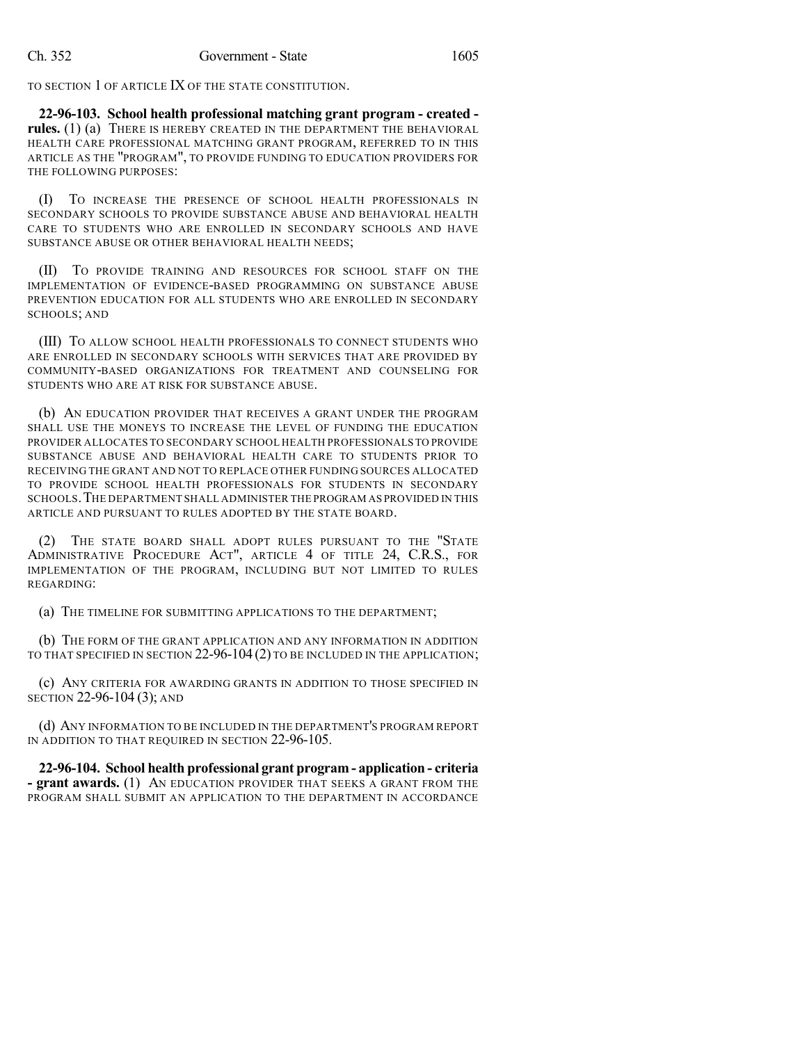TO SECTION 1 OF ARTICLE IX OF THE STATE CONSTITUTION.

**22-96-103. School health professional matching grant program - created rules.** (1) (a) THERE IS HEREBY CREATED IN THE DEPARTMENT THE BEHAVIORAL HEALTH CARE PROFESSIONAL MATCHING GRANT PROGRAM, REFERRED TO IN THIS ARTICLE AS THE "PROGRAM", TO PROVIDE FUNDING TO EDUCATION PROVIDERS FOR THE FOLLOWING PURPOSES:

(I) TO INCREASE THE PRESENCE OF SCHOOL HEALTH PROFESSIONALS IN SECONDARY SCHOOLS TO PROVIDE SUBSTANCE ABUSE AND BEHAVIORAL HEALTH CARE TO STUDENTS WHO ARE ENROLLED IN SECONDARY SCHOOLS AND HAVE SUBSTANCE ABUSE OR OTHER BEHAVIORAL HEALTH NEEDS;

(II) TO PROVIDE TRAINING AND RESOURCES FOR SCHOOL STAFF ON THE IMPLEMENTATION OF EVIDENCE-BASED PROGRAMMING ON SUBSTANCE ABUSE PREVENTION EDUCATION FOR ALL STUDENTS WHO ARE ENROLLED IN SECONDARY SCHOOLS; AND

(III) TO ALLOW SCHOOL HEALTH PROFESSIONALS TO CONNECT STUDENTS WHO ARE ENROLLED IN SECONDARY SCHOOLS WITH SERVICES THAT ARE PROVIDED BY COMMUNITY-BASED ORGANIZATIONS FOR TREATMENT AND COUNSELING FOR STUDENTS WHO ARE AT RISK FOR SUBSTANCE ABUSE.

(b) AN EDUCATION PROVIDER THAT RECEIVES A GRANT UNDER THE PROGRAM SHALL USE THE MONEYS TO INCREASE THE LEVEL OF FUNDING THE EDUCATION PROVIDER ALLOCATES TO SECONDARY SCHOOL HEALTH PROFESSIONALS TO PROVIDE SUBSTANCE ABUSE AND BEHAVIORAL HEALTH CARE TO STUDENTS PRIOR TO RECEIVING THE GRANT AND NOT TO REPLACE OTHER FUNDING SOURCES ALLOCATED TO PROVIDE SCHOOL HEALTH PROFESSIONALS FOR STUDENTS IN SECONDARY SCHOOLS.THE DEPARTMENT SHALL ADMINISTER THE PROGRAM AS PROVIDED IN THIS ARTICLE AND PURSUANT TO RULES ADOPTED BY THE STATE BOARD.

(2) THE STATE BOARD SHALL ADOPT RULES PURSUANT TO THE "STATE ADMINISTRATIVE PROCEDURE ACT", ARTICLE 4 OF TITLE 24, C.R.S., FOR IMPLEMENTATION OF THE PROGRAM, INCLUDING BUT NOT LIMITED TO RULES REGARDING:

(a) THE TIMELINE FOR SUBMITTING APPLICATIONS TO THE DEPARTMENT;

(b) THE FORM OF THE GRANT APPLICATION AND ANY INFORMATION IN ADDITION TO THAT SPECIFIED IN SECTION 22-96-104 (2) TO BE INCLUDED IN THE APPLICATION;

(c) ANY CRITERIA FOR AWARDING GRANTS IN ADDITION TO THOSE SPECIFIED IN SECTION 22-96-104 (3); AND

(d) ANY INFORMATION TO BE INCLUDED IN THE DEPARTMENT'S PROGRAM REPORT IN ADDITION TO THAT REQUIRED IN SECTION 22-96-105.

**22-96-104. School health professional grant program - application - criteria - grant awards.** (1) AN EDUCATION PROVIDER THAT SEEKS A GRANT FROM THE PROGRAM SHALL SUBMIT AN APPLICATION TO THE DEPARTMENT IN ACCORDANCE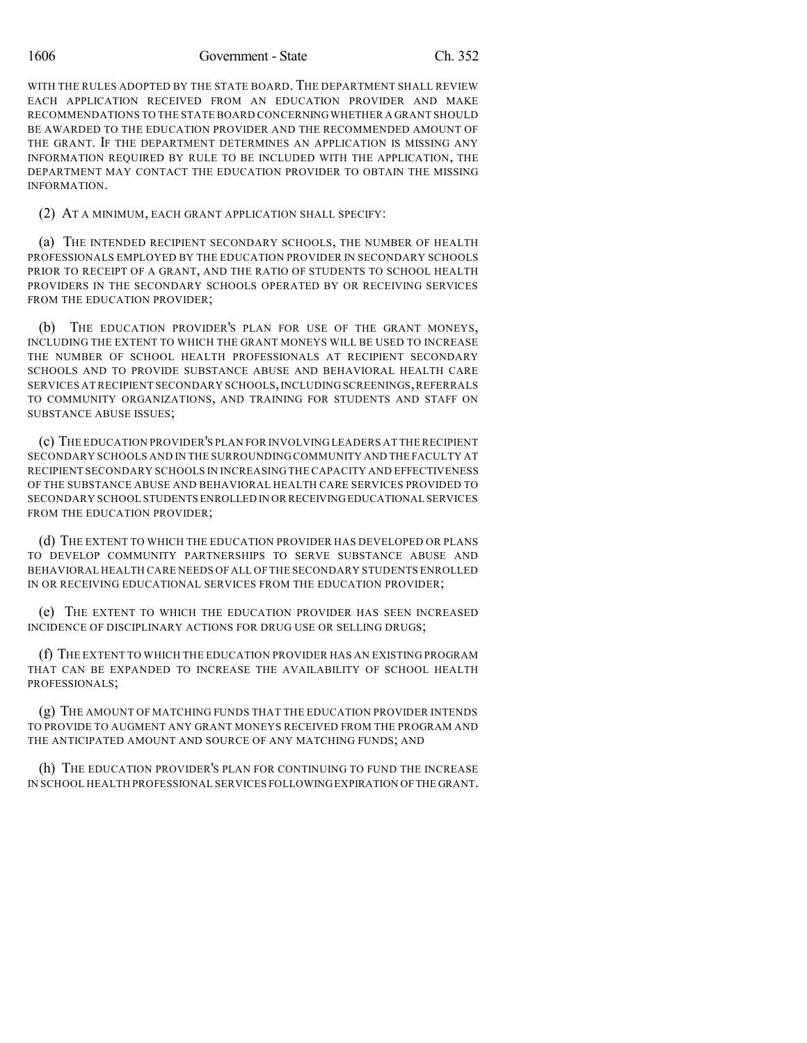1606 Government - State Ch. 352

WITH THE RULES ADOPTED BY THE STATE BOARD. THE DEPARTMENT SHALL REVIEW EACH APPLICATION RECEIVED FROM AN EDUCATION PROVIDER AND MAKE RECOMMENDATIONS TO THE STATE BOARD CONCERNINGWHETHER A GRANT SHOULD BE AWARDED TO THE EDUCATION PROVIDER AND THE RECOMMENDED AMOUNT OF THE GRANT. IF THE DEPARTMENT DETERMINES AN APPLICATION IS MISSING ANY INFORMATION REQUIRED BY RULE TO BE INCLUDED WITH THE APPLICATION, THE DEPARTMENT MAY CONTACT THE EDUCATION PROVIDER TO OBTAIN THE MISSING INFORMATION.

#### (2) AT A MINIMUM, EACH GRANT APPLICATION SHALL SPECIFY:

(a) THE INTENDED RECIPIENT SECONDARY SCHOOLS, THE NUMBER OF HEALTH PROFESSIONALS EMPLOYED BY THE EDUCATION PROVIDER IN SECONDARY SCHOOLS PRIOR TO RECEIPT OF A GRANT, AND THE RATIO OF STUDENTS TO SCHOOL HEALTH PROVIDERS IN THE SECONDARY SCHOOLS OPERATED BY OR RECEIVING SERVICES FROM THE EDUCATION PROVIDER:

(b) THE EDUCATION PROVIDER'S PLAN FOR USE OF THE GRANT MONEYS, INCLUDING THE EXTENT TO WHICH THE GRANT MONEYS WILL BE USED TO INCREASE THE NUMBER OF SCHOOL HEALTH PROFESSIONALS AT RECIPIENT SECONDARY SCHOOLS AND TO PROVIDE SUBSTANCE ABUSE AND BEHAVIORAL HEALTH CARE SERVICES AT RECIPIENT SECONDARY SCHOOLS,INCLUDING SCREENINGS,REFERRALS TO COMMUNITY ORGANIZATIONS, AND TRAINING FOR STUDENTS AND STAFF ON SUBSTANCE ABUSE ISSUES;

(c) THE EDUCATION PROVIDER'S PLAN FOR INVOLVING LEADERS AT THE RECIPIENT SECONDARY SCHOOLS AND IN THE SURROUNDING COMMUNITY AND THE FACULTY AT RECIPIENT SECONDARY SCHOOLS IN INCREASING THE CAPACITY AND EFFECTIVENESS OF THE SUBSTANCE ABUSE AND BEHAVIORAL HEALTH CARE SERVICES PROVIDED TO SECONDARY SCHOOL STUDENTS ENROLLED IN OR RECEIVINGEDUCATIONAL SERVICES FROM THE EDUCATION PROVIDER;

(d) THE EXTENT TO WHICH THE EDUCATION PROVIDER HAS DEVELOPED OR PLANS TO DEVELOP COMMUNITY PARTNERSHIPS TO SERVE SUBSTANCE ABUSE AND BEHAVIORAL HEALTH CARE NEEDS OF ALL OFTHE SECONDARY STUDENTS ENROLLED IN OR RECEIVING EDUCATIONAL SERVICES FROM THE EDUCATION PROVIDER;

(e) THE EXTENT TO WHICH THE EDUCATION PROVIDER HAS SEEN INCREASED INCIDENCE OF DISCIPLINARY ACTIONS FOR DRUG USE OR SELLING DRUGS;

(f) THE EXTENT TO WHICH THE EDUCATION PROVIDER HAS AN EXISTING PROGRAM THAT CAN BE EXPANDED TO INCREASE THE AVAILABILITY OF SCHOOL HEALTH PROFESSIONALS;

(g) THE AMOUNT OF MATCHING FUNDS THAT THE EDUCATION PROVIDER INTENDS TO PROVIDE TO AUGMENT ANY GRANT MONEYS RECEIVED FROM THE PROGRAM AND THE ANTICIPATED AMOUNT AND SOURCE OF ANY MATCHING FUNDS; AND

(h) THE EDUCATION PROVIDER'S PLAN FOR CONTINUING TO FUND THE INCREASE IN SCHOOL HEALTH PROFESSIONAL SERVICES FOLLOWINGEXPIRATION OFTHE GRANT.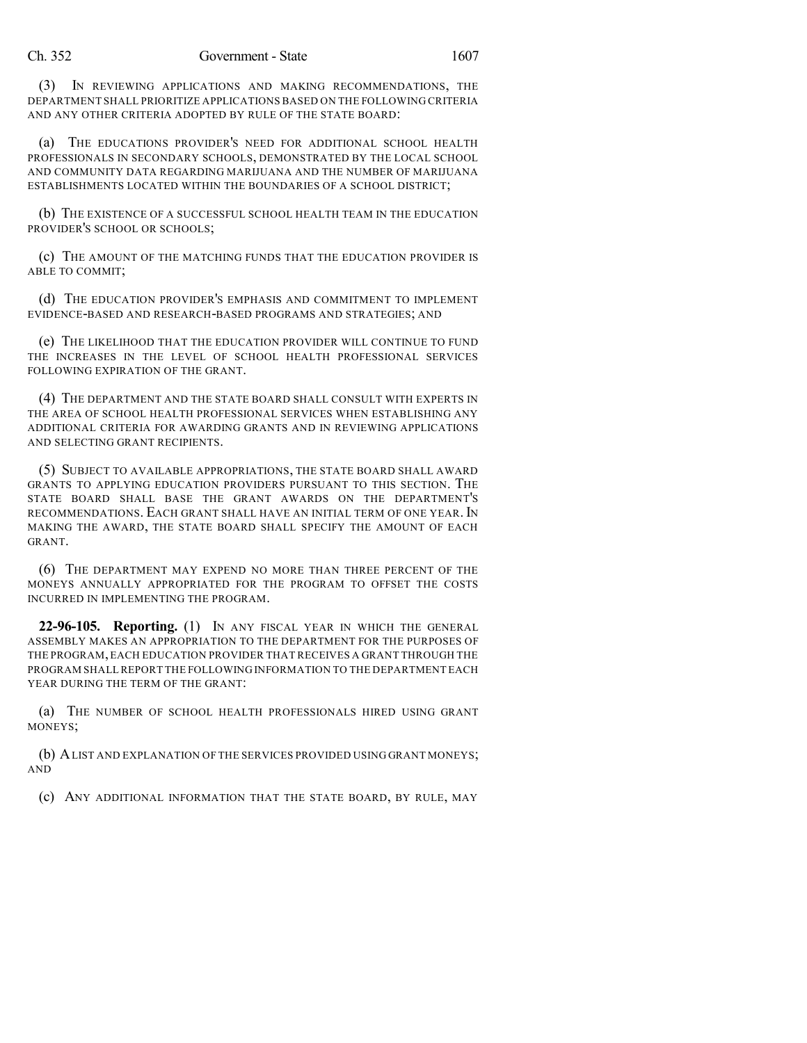(3) IN REVIEWING APPLICATIONS AND MAKING RECOMMENDATIONS, THE DEPARTMENT SHALL PRIORITIZE APPLICATIONS BASED ON THE FOLLOWING CRITERIA AND ANY OTHER CRITERIA ADOPTED BY RULE OF THE STATE BOARD:

(a) THE EDUCATIONS PROVIDER'S NEED FOR ADDITIONAL SCHOOL HEALTH PROFESSIONALS IN SECONDARY SCHOOLS, DEMONSTRATED BY THE LOCAL SCHOOL AND COMMUNITY DATA REGARDING MARIJUANA AND THE NUMBER OF MARIJUANA ESTABLISHMENTS LOCATED WITHIN THE BOUNDARIES OF A SCHOOL DISTRICT;

(b) THE EXISTENCE OF A SUCCESSFUL SCHOOL HEALTH TEAM IN THE EDUCATION PROVIDER'S SCHOOL OR SCHOOLS;

(c) THE AMOUNT OF THE MATCHING FUNDS THAT THE EDUCATION PROVIDER IS ABLE TO COMMIT;

(d) THE EDUCATION PROVIDER'S EMPHASIS AND COMMITMENT TO IMPLEMENT EVIDENCE-BASED AND RESEARCH-BASED PROGRAMS AND STRATEGIES; AND

(e) THE LIKELIHOOD THAT THE EDUCATION PROVIDER WILL CONTINUE TO FUND THE INCREASES IN THE LEVEL OF SCHOOL HEALTH PROFESSIONAL SERVICES FOLLOWING EXPIRATION OF THE GRANT.

(4) THE DEPARTMENT AND THE STATE BOARD SHALL CONSULT WITH EXPERTS IN THE AREA OF SCHOOL HEALTH PROFESSIONAL SERVICES WHEN ESTABLISHING ANY ADDITIONAL CRITERIA FOR AWARDING GRANTS AND IN REVIEWING APPLICATIONS AND SELECTING GRANT RECIPIENTS.

(5) SUBJECT TO AVAILABLE APPROPRIATIONS, THE STATE BOARD SHALL AWARD GRANTS TO APPLYING EDUCATION PROVIDERS PURSUANT TO THIS SECTION. THE STATE BOARD SHALL BASE THE GRANT AWARDS ON THE DEPARTMENT'S RECOMMENDATIONS. EACH GRANT SHALL HAVE AN INITIAL TERM OF ONE YEAR. IN MAKING THE AWARD, THE STATE BOARD SHALL SPECIFY THE AMOUNT OF EACH GRANT.

(6) THE DEPARTMENT MAY EXPEND NO MORE THAN THREE PERCENT OF THE MONEYS ANNUALLY APPROPRIATED FOR THE PROGRAM TO OFFSET THE COSTS INCURRED IN IMPLEMENTING THE PROGRAM.

**22-96-105. Reporting.** (1) IN ANY FISCAL YEAR IN WHICH THE GENERAL ASSEMBLY MAKES AN APPROPRIATION TO THE DEPARTMENT FOR THE PURPOSES OF THE PROGRAM,EACH EDUCATION PROVIDER THAT RECEIVES A GRANT THROUGH THE PROGRAM SHALLREPORT THE FOLLOWING INFORMATION TO THE DEPARTMENT EACH YEAR DURING THE TERM OF THE GRANT:

(a) THE NUMBER OF SCHOOL HEALTH PROFESSIONALS HIRED USING GRANT MONEYS;

(b) ALIST AND EXPLANATION OF THE SERVICES PROVIDED USING GRANT MONEYS; AND

(c) ANY ADDITIONAL INFORMATION THAT THE STATE BOARD, BY RULE, MAY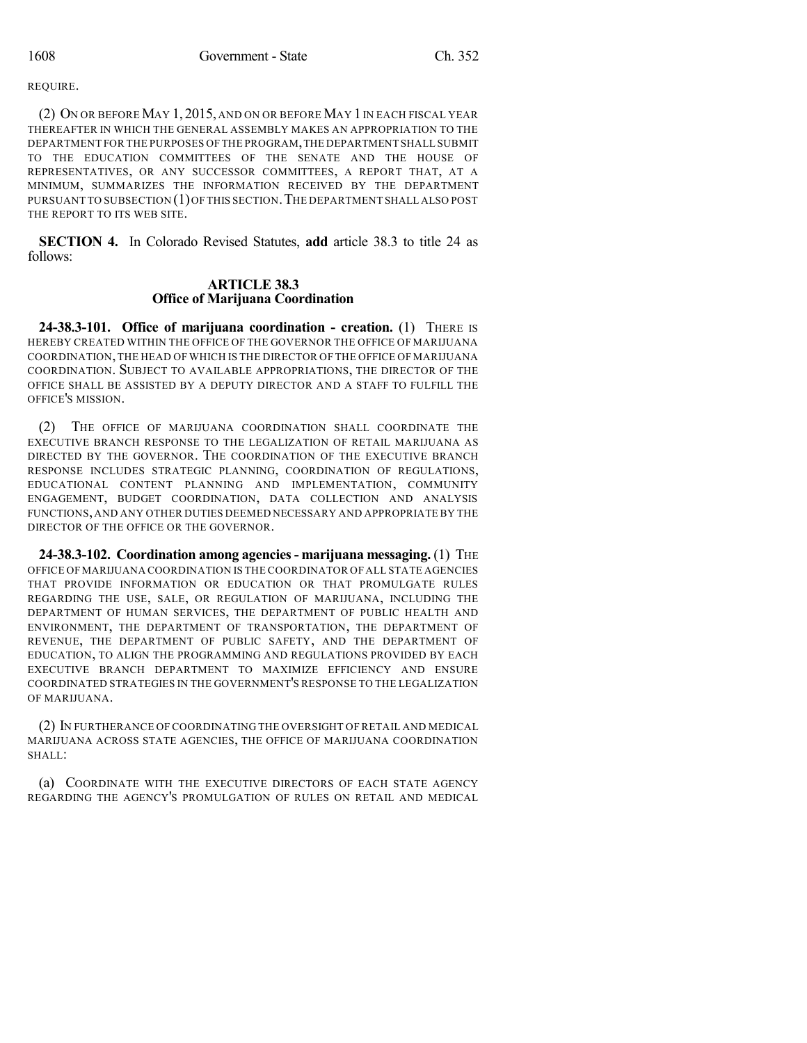REQUIRE.

(2) ON OR BEFORE MAY 1, 2015, AND ON OR BEFORE MAY 1IN EACH FISCAL YEAR THEREAFTER IN WHICH THE GENERAL ASSEMBLY MAKES AN APPROPRIATION TO THE DEPARTMENT FOR THE PURPOSES OF THE PROGRAM,THE DEPARTMENT SHALL SUBMIT TO THE EDUCATION COMMITTEES OF THE SENATE AND THE HOUSE OF REPRESENTATIVES, OR ANY SUCCESSOR COMMITTEES, A REPORT THAT, AT A MINIMUM, SUMMARIZES THE INFORMATION RECEIVED BY THE DEPARTMENT PURSUANT TO SUBSECTION (1)OF THIS SECTION.THE DEPARTMENT SHALL ALSO POST THE REPORT TO ITS WEB SITE.

**SECTION 4.** In Colorado Revised Statutes, **add** article 38.3 to title 24 as follows:

### **ARTICLE 38.3 Office of Marijuana Coordination**

**24-38.3-101. Office of marijuana coordination - creation.** (1) THERE IS HEREBY CREATED WITHIN THE OFFICE OF THE GOVERNOR THE OFFICE OF MARIJUANA COORDINATION,THE HEAD OF WHICH IS THE DIRECTOR OF THE OFFICE OF MARIJUANA COORDINATION. SUBJECT TO AVAILABLE APPROPRIATIONS, THE DIRECTOR OF THE OFFICE SHALL BE ASSISTED BY A DEPUTY DIRECTOR AND A STAFF TO FULFILL THE OFFICE'S MISSION.

(2) THE OFFICE OF MARIJUANA COORDINATION SHALL COORDINATE THE EXECUTIVE BRANCH RESPONSE TO THE LEGALIZATION OF RETAIL MARIJUANA AS DIRECTED BY THE GOVERNOR. THE COORDINATION OF THE EXECUTIVE BRANCH RESPONSE INCLUDES STRATEGIC PLANNING, COORDINATION OF REGULATIONS, EDUCATIONAL CONTENT PLANNING AND IMPLEMENTATION, COMMUNITY ENGAGEMENT, BUDGET COORDINATION, DATA COLLECTION AND ANALYSIS FUNCTIONS,AND ANY OTHER DUTIES DEEMED NECESSARY AND APPROPRIATE BY THE DIRECTOR OF THE OFFICE OR THE GOVERNOR.

**24-38.3-102. Coordination among agencies- marijuana messaging.** (1) THE OFFICE OF MARIJUANA COORDINATION IS THE COORDINATOR OFALL STATE AGENCIES THAT PROVIDE INFORMATION OR EDUCATION OR THAT PROMULGATE RULES REGARDING THE USE, SALE, OR REGULATION OF MARIJUANA, INCLUDING THE DEPARTMENT OF HUMAN SERVICES, THE DEPARTMENT OF PUBLIC HEALTH AND ENVIRONMENT, THE DEPARTMENT OF TRANSPORTATION, THE DEPARTMENT OF REVENUE, THE DEPARTMENT OF PUBLIC SAFETY, AND THE DEPARTMENT OF EDUCATION, TO ALIGN THE PROGRAMMING AND REGULATIONS PROVIDED BY EACH EXECUTIVE BRANCH DEPARTMENT TO MAXIMIZE EFFICIENCY AND ENSURE COORDINATED STRATEGIES IN THE GOVERNMENT'S RESPONSE TO THE LEGALIZATION OF MARIJUANA.

(2) IN FURTHERANCE OF COORDINATING THE OVERSIGHT OF RETAIL AND MEDICAL MARIJUANA ACROSS STATE AGENCIES, THE OFFICE OF MARIJUANA COORDINATION SHALL:

(a) COORDINATE WITH THE EXECUTIVE DIRECTORS OF EACH STATE AGENCY REGARDING THE AGENCY'S PROMULGATION OF RULES ON RETAIL AND MEDICAL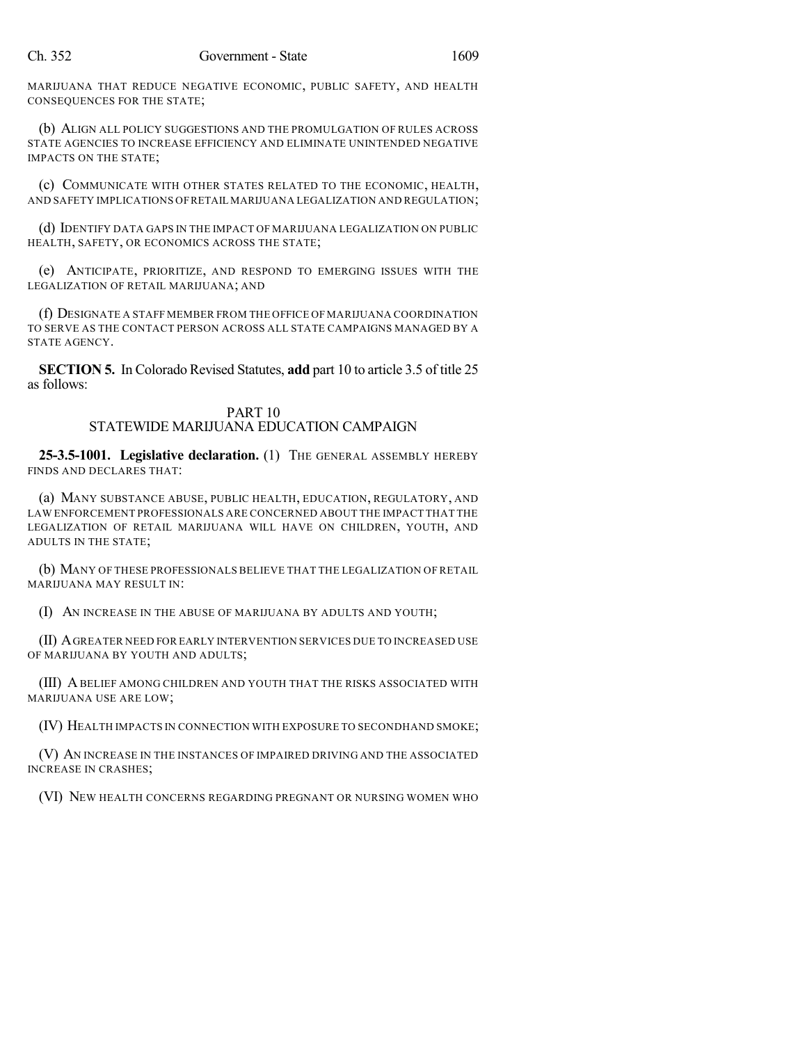MARIJUANA THAT REDUCE NEGATIVE ECONOMIC, PUBLIC SAFETY, AND HEALTH CONSEQUENCES FOR THE STATE;

(b) ALIGN ALL POLICY SUGGESTIONS AND THE PROMULGATION OF RULES ACROSS STATE AGENCIES TO INCREASE EFFICIENCY AND ELIMINATE UNINTENDED NEGATIVE IMPACTS ON THE STATE;

(c) COMMUNICATE WITH OTHER STATES RELATED TO THE ECONOMIC, HEALTH, AND SAFETY IMPLICATIONS OFRETAIL MARIJUANA LEGALIZATION AND REGULATION;

(d) IDENTIFY DATA GAPS IN THE IMPACT OF MARIJUANA LEGALIZATION ON PUBLIC HEALTH, SAFETY, OR ECONOMICS ACROSS THE STATE;

(e) ANTICIPATE, PRIORITIZE, AND RESPOND TO EMERGING ISSUES WITH THE LEGALIZATION OF RETAIL MARIJUANA; AND

(f) DESIGNATE A STAFF MEMBER FROM THE OFFICE OF MARIJUANA COORDINATION TO SERVE AS THE CONTACT PERSON ACROSS ALL STATE CAMPAIGNS MANAGED BY A STATE AGENCY.

**SECTION 5.** In Colorado Revised Statutes, **add** part 10 to article 3.5 of title 25 as follows:

## PART 10 STATEWIDE MARIJUANA EDUCATION CAMPAIGN

**25-3.5-1001. Legislative declaration.** (1) THE GENERAL ASSEMBLY HEREBY FINDS AND DECLARES THAT:

(a) MANY SUBSTANCE ABUSE, PUBLIC HEALTH, EDUCATION, REGULATORY, AND LAW ENFORCEMENT PROFESSIONALS ARE CONCERNED ABOUT THE IMPACT THAT THE LEGALIZATION OF RETAIL MARIJUANA WILL HAVE ON CHILDREN, YOUTH, AND ADULTS IN THE STATE;

(b) MANY OF THESE PROFESSIONALS BELIEVE THAT THE LEGALIZATION OF RETAIL MARIJUANA MAY RESULT IN:

(I) AN INCREASE IN THE ABUSE OF MARIJUANA BY ADULTS AND YOUTH;

(II) AGREATER NEED FOR EARLY INTERVENTION SERVICES DUE TO INCREASED USE OF MARIJUANA BY YOUTH AND ADULTS;

(III) ABELIEF AMONG CHILDREN AND YOUTH THAT THE RISKS ASSOCIATED WITH MARIJUANA USE ARE LOW;

(IV) HEALTH IMPACTS IN CONNECTION WITH EXPOSURE TO SECONDHAND SMOKE;

(V) AN INCREASE IN THE INSTANCES OF IMPAIRED DRIVING AND THE ASSOCIATED INCREASE IN CRASHES;

(VI) NEW HEALTH CONCERNS REGARDING PREGNANT OR NURSING WOMEN WHO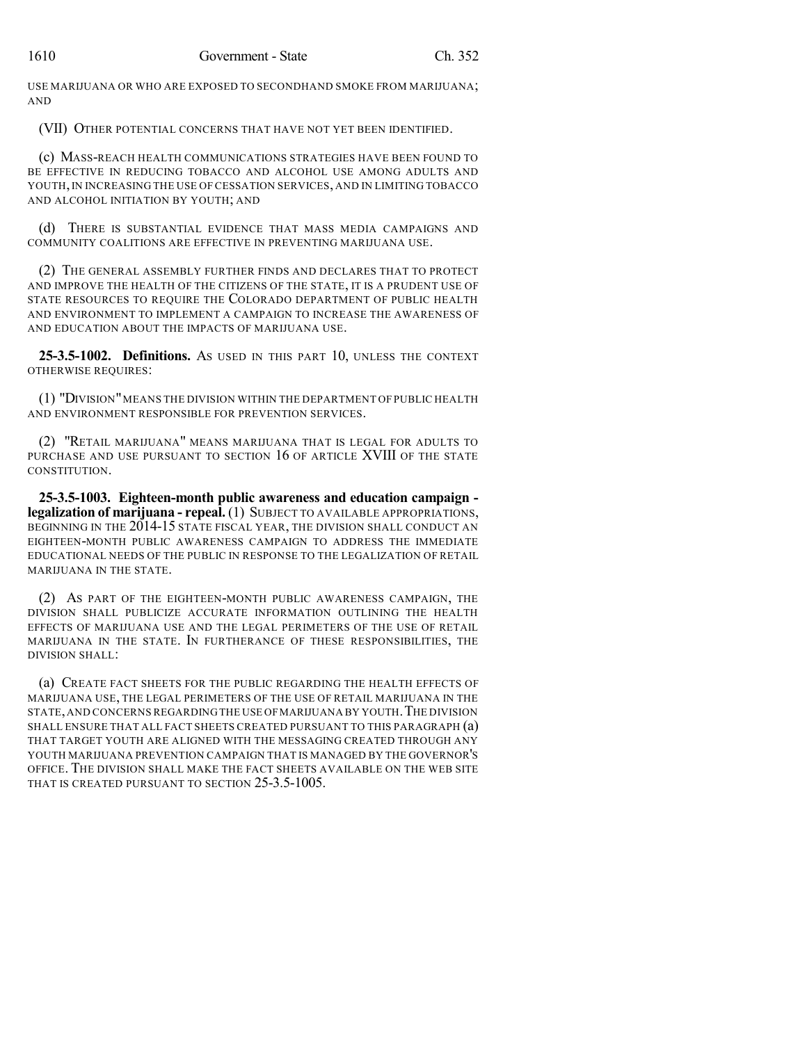USE MARIJUANA OR WHO ARE EXPOSED TO SECONDHAND SMOKE FROM MARIJUANA; AND

(VII) OTHER POTENTIAL CONCERNS THAT HAVE NOT YET BEEN IDENTIFIED.

(c) MASS-REACH HEALTH COMMUNICATIONS STRATEGIES HAVE BEEN FOUND TO BE EFFECTIVE IN REDUCING TOBACCO AND ALCOHOL USE AMONG ADULTS AND YOUTH,IN INCREASING THE USE OF CESSATION SERVICES, AND IN LIMITING TOBACCO AND ALCOHOL INITIATION BY YOUTH; AND

(d) THERE IS SUBSTANTIAL EVIDENCE THAT MASS MEDIA CAMPAIGNS AND COMMUNITY COALITIONS ARE EFFECTIVE IN PREVENTING MARIJUANA USE.

(2) THE GENERAL ASSEMBLY FURTHER FINDS AND DECLARES THAT TO PROTECT AND IMPROVE THE HEALTH OF THE CITIZENS OF THE STATE, IT IS A PRUDENT USE OF STATE RESOURCES TO REQUIRE THE COLORADO DEPARTMENT OF PUBLIC HEALTH AND ENVIRONMENT TO IMPLEMENT A CAMPAIGN TO INCREASE THE AWARENESS OF AND EDUCATION ABOUT THE IMPACTS OF MARIJUANA USE.

**25-3.5-1002. Definitions.** AS USED IN THIS PART 10, UNLESS THE CONTEXT OTHERWISE REQUIRES:

(1) "DIVISION"MEANS THE DIVISION WITHIN THE DEPARTMENT OF PUBLIC HEALTH AND ENVIRONMENT RESPONSIBLE FOR PREVENTION SERVICES.

(2) "RETAIL MARIJUANA" MEANS MARIJUANA THAT IS LEGAL FOR ADULTS TO PURCHASE AND USE PURSUANT TO SECTION 16 OF ARTICLE XVIII OF THE STATE CONSTITUTION.

**25-3.5-1003. Eighteen-month public awareness and education campaign legalization of marijuana - repeal.** (1) SUBJECT TO AVAILABLE APPROPRIATIONS, BEGINNING IN THE 2014-15 STATE FISCAL YEAR, THE DIVISION SHALL CONDUCT AN EIGHTEEN-MONTH PUBLIC AWARENESS CAMPAIGN TO ADDRESS THE IMMEDIATE EDUCATIONAL NEEDS OF THE PUBLIC IN RESPONSE TO THE LEGALIZATION OF RETAIL MARIJUANA IN THE STATE.

(2) AS PART OF THE EIGHTEEN-MONTH PUBLIC AWARENESS CAMPAIGN, THE DIVISION SHALL PUBLICIZE ACCURATE INFORMATION OUTLINING THE HEALTH EFFECTS OF MARIJUANA USE AND THE LEGAL PERIMETERS OF THE USE OF RETAIL MARIJUANA IN THE STATE. IN FURTHERANCE OF THESE RESPONSIBILITIES, THE DIVISION SHALL:

(a) CREATE FACT SHEETS FOR THE PUBLIC REGARDING THE HEALTH EFFECTS OF MARIJUANA USE, THE LEGAL PERIMETERS OF THE USE OF RETAIL MARIJUANA IN THE STATE,AND CONCERNS REGARDINGTHE USE OFMARIJUANA BY YOUTH.THE DIVISION SHALL ENSURE THAT ALL FACT SHEETS CREATED PURSUANT TO THIS PARAGRAPH (a) THAT TARGET YOUTH ARE ALIGNED WITH THE MESSAGING CREATED THROUGH ANY YOUTH MARIJUANA PREVENTION CAMPAIGN THAT IS MANAGED BY THE GOVERNOR'S OFFICE. THE DIVISION SHALL MAKE THE FACT SHEETS AVAILABLE ON THE WEB SITE THAT IS CREATED PURSUANT TO SECTION 25-3.5-1005.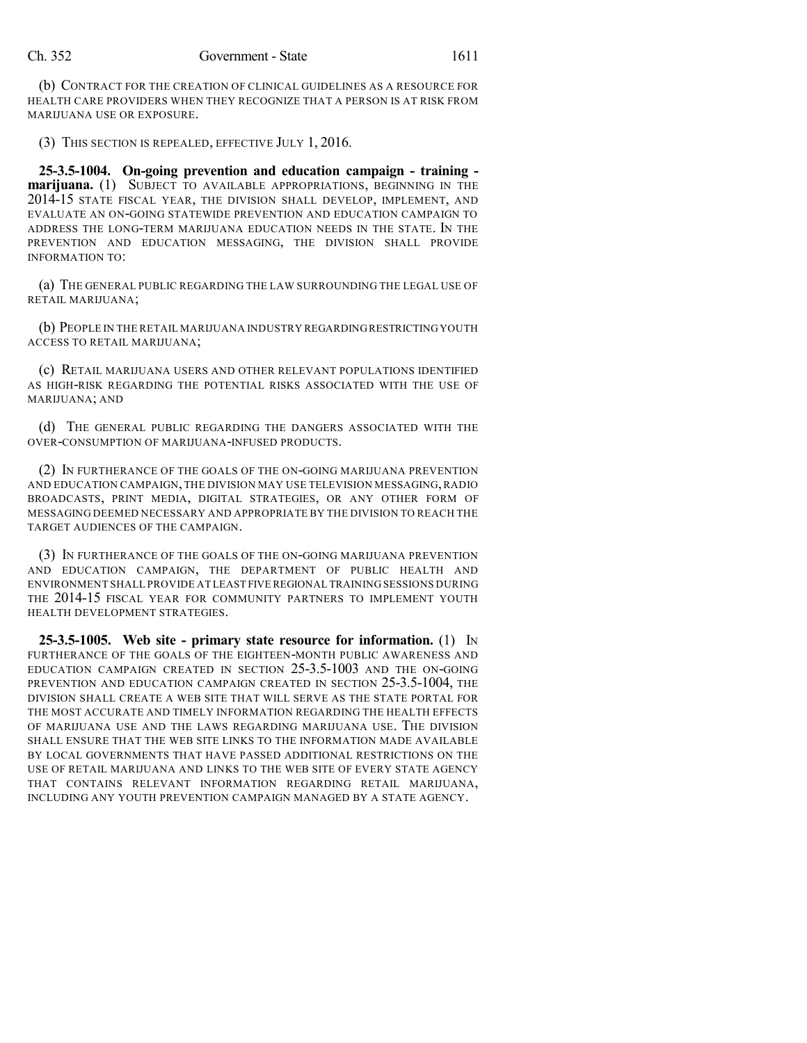(b) CONTRACT FOR THE CREATION OF CLINICAL GUIDELINES AS A RESOURCE FOR HEALTH CARE PROVIDERS WHEN THEY RECOGNIZE THAT A PERSON IS AT RISK FROM MARIJUANA USE OR EXPOSURE.

(3) THIS SECTION IS REPEALED, EFFECTIVE JULY 1, 2016.

**25-3.5-1004. On-going prevention and education campaign - training marijuana.** (1) SUBJECT TO AVAILABLE APPROPRIATIONS, BEGINNING IN THE 2014-15 STATE FISCAL YEAR, THE DIVISION SHALL DEVELOP, IMPLEMENT, AND EVALUATE AN ON-GOING STATEWIDE PREVENTION AND EDUCATION CAMPAIGN TO ADDRESS THE LONG-TERM MARIJUANA EDUCATION NEEDS IN THE STATE. IN THE PREVENTION AND EDUCATION MESSAGING, THE DIVISION SHALL PROVIDE INFORMATION TO:

(a) THE GENERAL PUBLIC REGARDING THE LAW SURROUNDING THE LEGAL USE OF RETAIL MARIJUANA;

(b) PEOPLE IN THE RETAIL MARIJUANA INDUSTRY REGARDINGRESTRICTINGYOUTH ACCESS TO RETAIL MARIJUANA;

(c) RETAIL MARIJUANA USERS AND OTHER RELEVANT POPULATIONS IDENTIFIED AS HIGH-RISK REGARDING THE POTENTIAL RISKS ASSOCIATED WITH THE USE OF MARIJUANA; AND

(d) THE GENERAL PUBLIC REGARDING THE DANGERS ASSOCIATED WITH THE OVER-CONSUMPTION OF MARIJUANA-INFUSED PRODUCTS.

(2) IN FURTHERANCE OF THE GOALS OF THE ON-GOING MARIJUANA PREVENTION AND EDUCATION CAMPAIGN, THE DIVISION MAY USE TELEVISION MESSAGING,RADIO BROADCASTS, PRINT MEDIA, DIGITAL STRATEGIES, OR ANY OTHER FORM OF MESSAGING DEEMED NECESSARY AND APPROPRIATE BY THE DIVISION TO REACH THE TARGET AUDIENCES OF THE CAMPAIGN.

(3) IN FURTHERANCE OF THE GOALS OF THE ON-GOING MARIJUANA PREVENTION AND EDUCATION CAMPAIGN, THE DEPARTMENT OF PUBLIC HEALTH AND ENVIRONMENT SHALL PROVIDE AT LEAST FIVEREGIONAL TRAINING SESSIONS DURING THE 2014-15 FISCAL YEAR FOR COMMUNITY PARTNERS TO IMPLEMENT YOUTH HEALTH DEVELOPMENT STRATEGIES.

**25-3.5-1005. Web site - primary state resource for information.** (1) IN FURTHERANCE OF THE GOALS OF THE EIGHTEEN-MONTH PUBLIC AWARENESS AND EDUCATION CAMPAIGN CREATED IN SECTION 25-3.5-1003 AND THE ON-GOING PREVENTION AND EDUCATION CAMPAIGN CREATED IN SECTION 25-3.5-1004, THE DIVISION SHALL CREATE A WEB SITE THAT WILL SERVE AS THE STATE PORTAL FOR THE MOST ACCURATE AND TIMELY INFORMATION REGARDING THE HEALTH EFFECTS OF MARIJUANA USE AND THE LAWS REGARDING MARIJUANA USE. THE DIVISION SHALL ENSURE THAT THE WEB SITE LINKS TO THE INFORMATION MADE AVAILABLE BY LOCAL GOVERNMENTS THAT HAVE PASSED ADDITIONAL RESTRICTIONS ON THE USE OF RETAIL MARIJUANA AND LINKS TO THE WEB SITE OF EVERY STATE AGENCY THAT CONTAINS RELEVANT INFORMATION REGARDING RETAIL MARIJUANA, INCLUDING ANY YOUTH PREVENTION CAMPAIGN MANAGED BY A STATE AGENCY.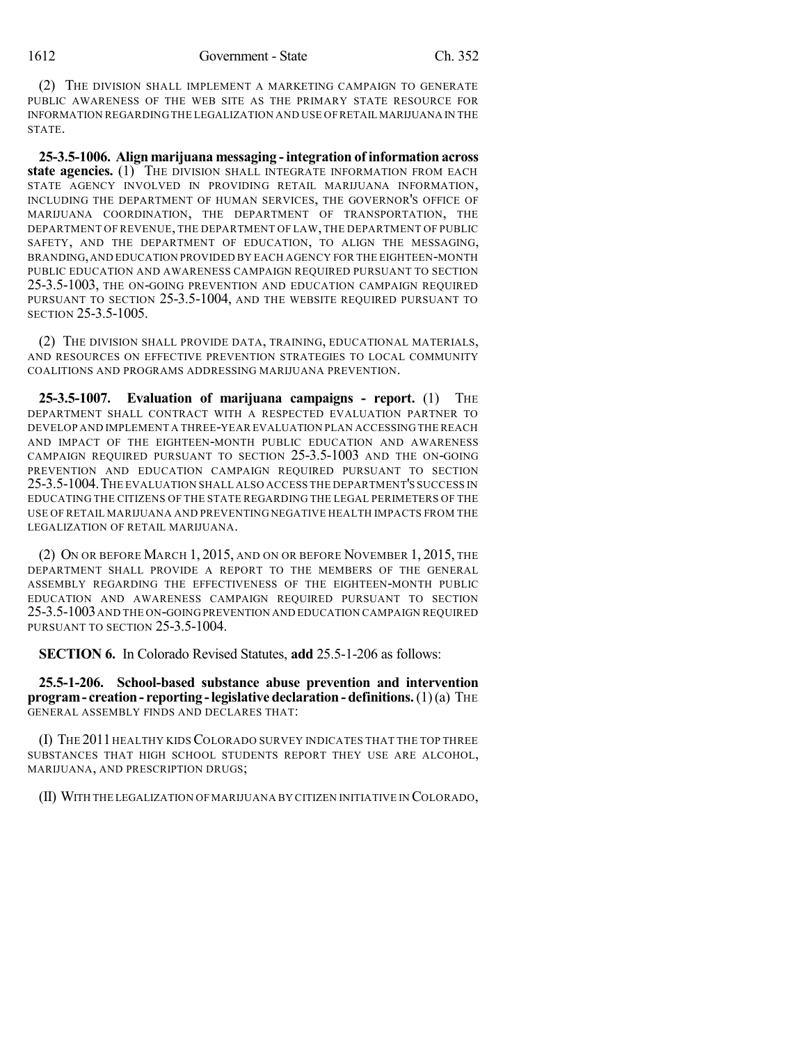(2) THE DIVISION SHALL IMPLEMENT A MARKETING CAMPAIGN TO GENERATE PUBLIC AWARENESS OF THE WEB SITE AS THE PRIMARY STATE RESOURCE FOR INFORMATION REGARDING THE LEGALIZATION AND USE OF RETAIL MARIJUANA IN THE STATE.

**25-3.5-1006. Align marijuana messaging -integration of information across state agencies.** (1) THE DIVISION SHALL INTEGRATE INFORMATION FROM EACH STATE AGENCY INVOLVED IN PROVIDING RETAIL MARIJUANA INFORMATION, INCLUDING THE DEPARTMENT OF HUMAN SERVICES, THE GOVERNOR'S OFFICE OF MARIJUANA COORDINATION, THE DEPARTMENT OF TRANSPORTATION, THE DEPARTMENT OF REVENUE, THE DEPARTMENT OF LAW, THE DEPARTMENT OF PUBLIC SAFETY, AND THE DEPARTMENT OF EDUCATION, TO ALIGN THE MESSAGING, BRANDING,AND EDUCATION PROVIDED BY EACH AGENCY FOR THE EIGHTEEN-MONTH PUBLIC EDUCATION AND AWARENESS CAMPAIGN REQUIRED PURSUANT TO SECTION 25-3.5-1003, THE ON-GOING PREVENTION AND EDUCATION CAMPAIGN REQUIRED PURSUANT TO SECTION 25-3.5-1004, AND THE WEBSITE REQUIRED PURSUANT TO SECTION 25-3.5-1005.

(2) THE DIVISION SHALL PROVIDE DATA, TRAINING, EDUCATIONAL MATERIALS, AND RESOURCES ON EFFECTIVE PREVENTION STRATEGIES TO LOCAL COMMUNITY COALITIONS AND PROGRAMS ADDRESSING MARIJUANA PREVENTION.

**25-3.5-1007. Evaluation of marijuana campaigns - report.** (1) THE DEPARTMENT SHALL CONTRACT WITH A RESPECTED EVALUATION PARTNER TO DEVELOP AND IMPLEMENT A THREE-YEAR EVALUATION PLAN ACCESSING THE REACH AND IMPACT OF THE EIGHTEEN-MONTH PUBLIC EDUCATION AND AWARENESS CAMPAIGN REQUIRED PURSUANT TO SECTION 25-3.5-1003 AND THE ON-GOING PREVENTION AND EDUCATION CAMPAIGN REQUIRED PURSUANT TO SECTION 25-3.5-1004.THE EVALUATION SHALL ALSO ACCESS THE DEPARTMENT'S SUCCESS IN EDUCATING THE CITIZENS OF THE STATE REGARDING THE LEGAL PERIMETERS OF THE USE OF RETAIL MARIJUANA AND PREVENTING NEGATIVE HEALTH IMPACTS FROM THE LEGALIZATION OF RETAIL MARIJUANA.

(2) ON OR BEFORE MARCH 1, 2015, AND ON OR BEFORE NOVEMBER 1, 2015, THE DEPARTMENT SHALL PROVIDE A REPORT TO THE MEMBERS OF THE GENERAL ASSEMBLY REGARDING THE EFFECTIVENESS OF THE EIGHTEEN-MONTH PUBLIC EDUCATION AND AWARENESS CAMPAIGN REQUIRED PURSUANT TO SECTION 25-3.5-1003AND THE ON-GOING PREVENTION AND EDUCATION CAMPAIGN REQUIRED PURSUANT TO SECTION 25-3.5-1004.

**SECTION 6.** In Colorado Revised Statutes, **add** 25.5-1-206 as follows:

**25.5-1-206. School-based substance abuse prevention and intervention program- creation- reporting -legislative declaration - definitions.**(1)(a) THE GENERAL ASSEMBLY FINDS AND DECLARES THAT:

(I) THE 2011 HEALTHY KIDS COLORADO SURVEY INDICATES THAT THE TOP THREE SUBSTANCES THAT HIGH SCHOOL STUDENTS REPORT THEY USE ARE ALCOHOL, MARIJUANA, AND PRESCRIPTION DRUGS;

(II) WITH THE LEGALIZATION OF MARIJUANA BY CITIZEN INITIATIVE IN COLORADO,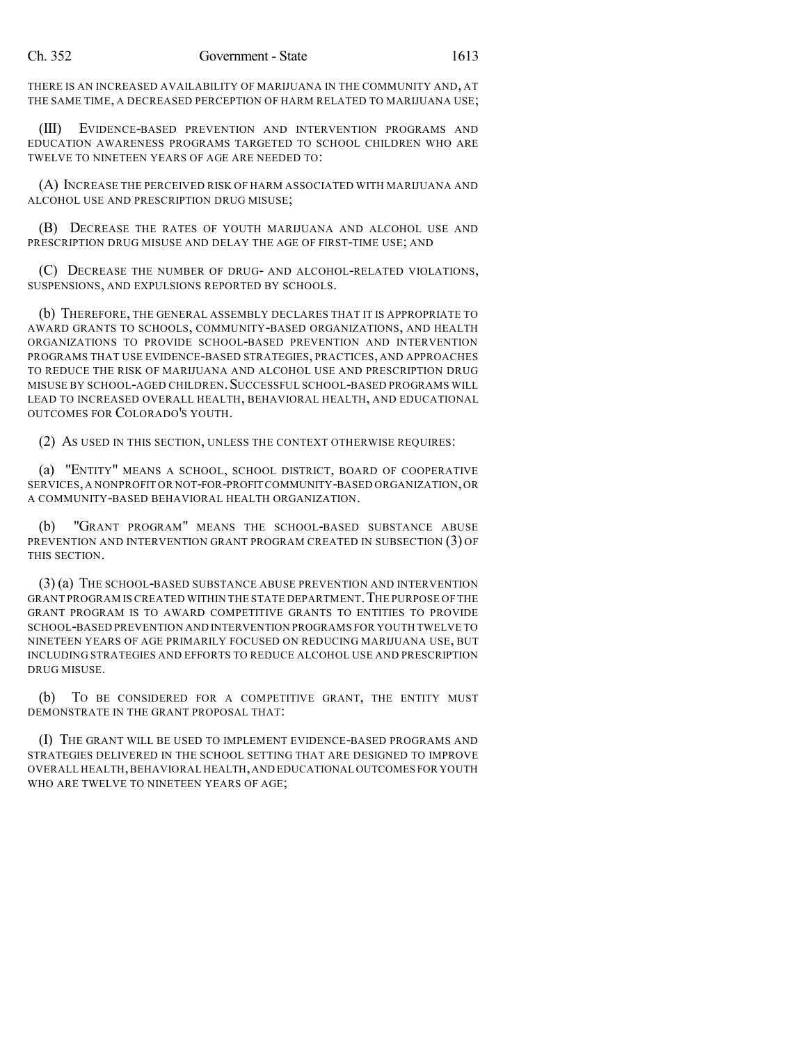THERE IS AN INCREASED AVAILABILITY OF MARIJUANA IN THE COMMUNITY AND, AT THE SAME TIME, A DECREASED PERCEPTION OF HARM RELATED TO MARIJUANA USE;

(III) EVIDENCE-BASED PREVENTION AND INTERVENTION PROGRAMS AND EDUCATION AWARENESS PROGRAMS TARGETED TO SCHOOL CHILDREN WHO ARE TWELVE TO NINETEEN YEARS OF AGE ARE NEEDED TO:

(A) INCREASE THE PERCEIVED RISK OF HARM ASSOCIATED WITH MARIJUANA AND ALCOHOL USE AND PRESCRIPTION DRUG MISUSE;

(B) DECREASE THE RATES OF YOUTH MARIJUANA AND ALCOHOL USE AND PRESCRIPTION DRUG MISUSE AND DELAY THE AGE OF FIRST-TIME USE; AND

(C) DECREASE THE NUMBER OF DRUG- AND ALCOHOL-RELATED VIOLATIONS, SUSPENSIONS, AND EXPULSIONS REPORTED BY SCHOOLS.

(b) THEREFORE, THE GENERAL ASSEMBLY DECLARES THAT IT IS APPROPRIATE TO AWARD GRANTS TO SCHOOLS, COMMUNITY-BASED ORGANIZATIONS, AND HEALTH ORGANIZATIONS TO PROVIDE SCHOOL-BASED PREVENTION AND INTERVENTION PROGRAMS THAT USE EVIDENCE-BASED STRATEGIES, PRACTICES, AND APPROACHES TO REDUCE THE RISK OF MARIJUANA AND ALCOHOL USE AND PRESCRIPTION DRUG MISUSE BY SCHOOL-AGED CHILDREN. SUCCESSFUL SCHOOL-BASED PROGRAMS WILL LEAD TO INCREASED OVERALL HEALTH, BEHAVIORAL HEALTH, AND EDUCATIONAL OUTCOMES FOR COLORADO'S YOUTH.

(2) AS USED IN THIS SECTION, UNLESS THE CONTEXT OTHERWISE REQUIRES:

(a) "ENTITY" MEANS A SCHOOL, SCHOOL DISTRICT, BOARD OF COOPERATIVE SERVICES,A NONPROFIT OR NOT-FOR-PROFIT COMMUNITY-BASED ORGANIZATION,OR A COMMUNITY-BASED BEHAVIORAL HEALTH ORGANIZATION.

(b) "GRANT PROGRAM" MEANS THE SCHOOL-BASED SUBSTANCE ABUSE PREVENTION AND INTERVENTION GRANT PROGRAM CREATED IN SUBSECTION (3) OF THIS SECTION.

(3) (a) THE SCHOOL-BASED SUBSTANCE ABUSE PREVENTION AND INTERVENTION GRANT PROGRAM IS CREATED WITHIN THE STATE DEPARTMENT. THE PURPOSE OF THE GRANT PROGRAM IS TO AWARD COMPETITIVE GRANTS TO ENTITIES TO PROVIDE SCHOOL-BASED PREVENTION AND INTERVENTION PROGRAMS FOR YOUTH TWELVE TO NINETEEN YEARS OF AGE PRIMARILY FOCUSED ON REDUCING MARIJUANA USE, BUT INCLUDING STRATEGIES AND EFFORTS TO REDUCE ALCOHOL USE AND PRESCRIPTION DRUG MISUSE.

(b) TO BE CONSIDERED FOR A COMPETITIVE GRANT, THE ENTITY MUST DEMONSTRATE IN THE GRANT PROPOSAL THAT:

(I) THE GRANT WILL BE USED TO IMPLEMENT EVIDENCE-BASED PROGRAMS AND STRATEGIES DELIVERED IN THE SCHOOL SETTING THAT ARE DESIGNED TO IMPROVE OVERALL HEALTH,BEHAVIORAL HEALTH,AND EDUCATIONAL OUTCOMES FOR YOUTH WHO ARE TWELVE TO NINETEEN YEARS OF AGE;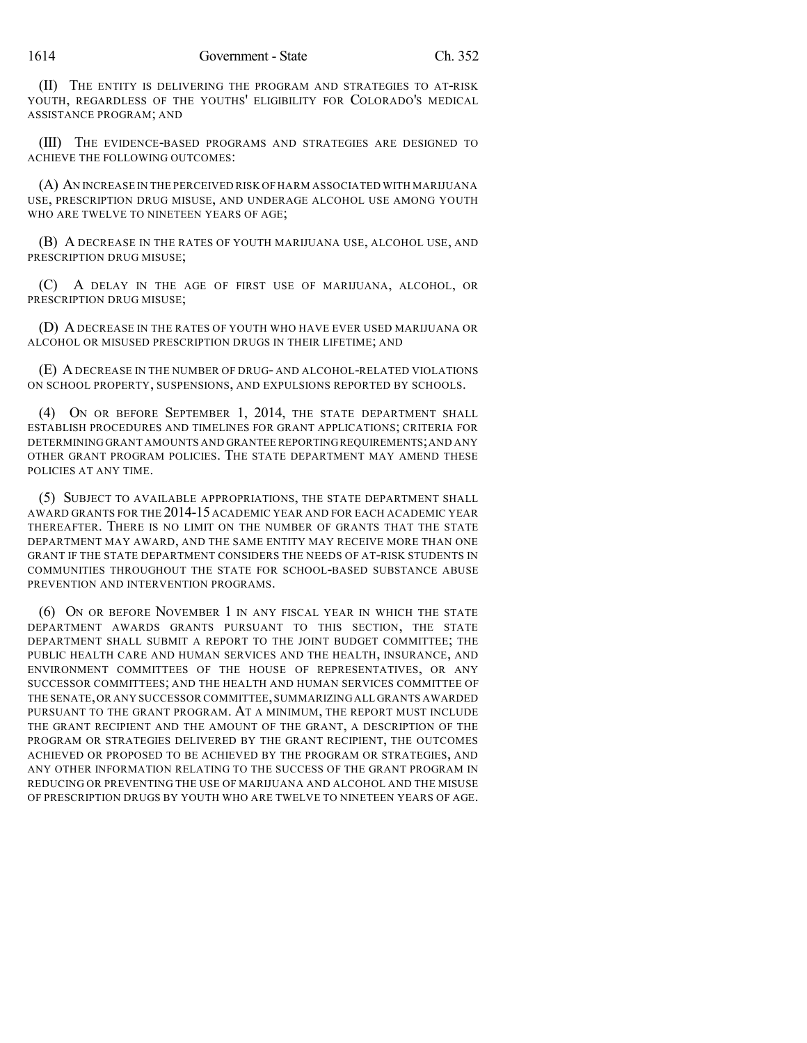(II) THE ENTITY IS DELIVERING THE PROGRAM AND STRATEGIES TO AT-RISK YOUTH, REGARDLESS OF THE YOUTHS' ELIGIBILITY FOR COLORADO'S MEDICAL ASSISTANCE PROGRAM; AND

(III) THE EVIDENCE-BASED PROGRAMS AND STRATEGIES ARE DESIGNED TO ACHIEVE THE FOLLOWING OUTCOMES:

(A) AN INCREASE IN THE PERCEIVED RISK OF HARM ASSOCIATED WITH MARIJUANA USE, PRESCRIPTION DRUG MISUSE, AND UNDERAGE ALCOHOL USE AMONG YOUTH WHO ARE TWELVE TO NINETEEN YEARS OF AGE;

(B) A DECREASE IN THE RATES OF YOUTH MARIJUANA USE, ALCOHOL USE, AND PRESCRIPTION DRUG MISUSE;

(C) A DELAY IN THE AGE OF FIRST USE OF MARIJUANA, ALCOHOL, OR PRESCRIPTION DRUG MISUSE;

(D) A DECREASE IN THE RATES OF YOUTH WHO HAVE EVER USED MARIJUANA OR ALCOHOL OR MISUSED PRESCRIPTION DRUGS IN THEIR LIFETIME; AND

(E) ADECREASE IN THE NUMBER OF DRUG- AND ALCOHOL-RELATED VIOLATIONS ON SCHOOL PROPERTY, SUSPENSIONS, AND EXPULSIONS REPORTED BY SCHOOLS.

(4) ON OR BEFORE SEPTEMBER 1, 2014, THE STATE DEPARTMENT SHALL ESTABLISH PROCEDURES AND TIMELINES FOR GRANT APPLICATIONS; CRITERIA FOR DETERMINING GRANT AMOUNTS AND GRANTEE REPORTINGREQUIREMENTS;AND ANY OTHER GRANT PROGRAM POLICIES. THE STATE DEPARTMENT MAY AMEND THESE POLICIES AT ANY TIME.

(5) SUBJECT TO AVAILABLE APPROPRIATIONS, THE STATE DEPARTMENT SHALL AWARD GRANTS FOR THE 2014-15 ACADEMIC YEAR AND FOR EACH ACADEMIC YEAR THEREAFTER. THERE IS NO LIMIT ON THE NUMBER OF GRANTS THAT THE STATE DEPARTMENT MAY AWARD, AND THE SAME ENTITY MAY RECEIVE MORE THAN ONE GRANT IF THE STATE DEPARTMENT CONSIDERS THE NEEDS OF AT-RISK STUDENTS IN COMMUNITIES THROUGHOUT THE STATE FOR SCHOOL-BASED SUBSTANCE ABUSE PREVENTION AND INTERVENTION PROGRAMS.

(6) ON OR BEFORE NOVEMBER 1 IN ANY FISCAL YEAR IN WHICH THE STATE DEPARTMENT AWARDS GRANTS PURSUANT TO THIS SECTION, THE STATE DEPARTMENT SHALL SUBMIT A REPORT TO THE JOINT BUDGET COMMITTEE; THE PUBLIC HEALTH CARE AND HUMAN SERVICES AND THE HEALTH, INSURANCE, AND ENVIRONMENT COMMITTEES OF THE HOUSE OF REPRESENTATIVES, OR ANY SUCCESSOR COMMITTEES; AND THE HEALTH AND HUMAN SERVICES COMMITTEE OF THE SENATE,OR ANY SUCCESSOR COMMITTEE,SUMMARIZING ALL GRANTS AWARDED PURSUANT TO THE GRANT PROGRAM. AT A MINIMUM, THE REPORT MUST INCLUDE THE GRANT RECIPIENT AND THE AMOUNT OF THE GRANT, A DESCRIPTION OF THE PROGRAM OR STRATEGIES DELIVERED BY THE GRANT RECIPIENT, THE OUTCOMES ACHIEVED OR PROPOSED TO BE ACHIEVED BY THE PROGRAM OR STRATEGIES, AND ANY OTHER INFORMATION RELATING TO THE SUCCESS OF THE GRANT PROGRAM IN REDUCING OR PREVENTING THE USE OF MARIJUANA AND ALCOHOL AND THE MISUSE OF PRESCRIPTION DRUGS BY YOUTH WHO ARE TWELVE TO NINETEEN YEARS OF AGE.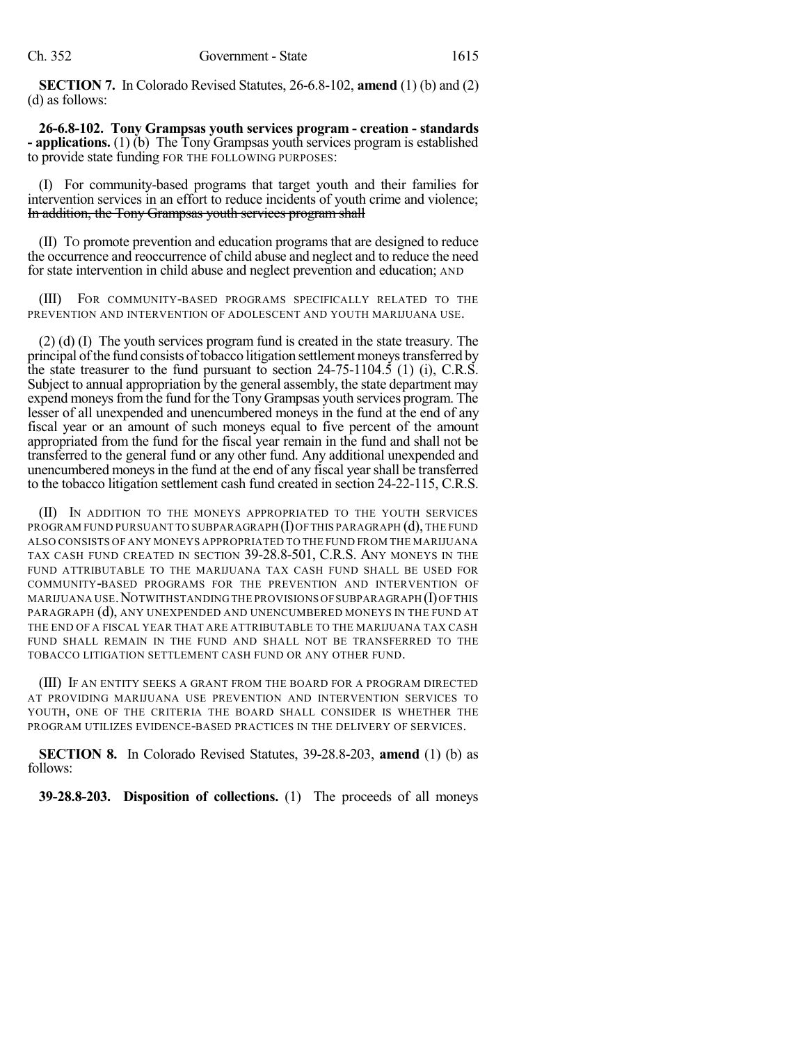**SECTION 7.** In Colorado Revised Statutes, 26-6.8-102, **amend** (1) (b) and (2) (d) as follows:

**26-6.8-102. Tony Grampsas youth services program - creation - standards - applications.** (1) (b) The Tony Grampsas youth services program is established to provide state funding FOR THE FOLLOWING PURPOSES:

(I) For community-based programs that target youth and their families for intervention services in an effort to reduce incidents of youth crime and violence; In addition, the Tony Grampsas youth services program shall

(II) TO promote prevention and education programs that are designed to reduce the occurrence and reoccurrence of child abuse and neglect and to reduce the need for state intervention in child abuse and neglect prevention and education; AND

(III) FOR COMMUNITY-BASED PROGRAMS SPECIFICALLY RELATED TO THE PREVENTION AND INTERVENTION OF ADOLESCENT AND YOUTH MARIJUANA USE.

(2) (d) (I) The youth services program fund is created in the state treasury. The principal of the fund consists of tobacco litigation settlement moneys transferred by the state treasurer to the fund pursuant to section  $24-75-1104.5$  (1) (i), C.R.S. Subject to annual appropriation by the general assembly, the state department may expend moneys from the fund for the Tony Grampsas youth services program. The lesser of all unexpended and unencumbered moneys in the fund at the end of any fiscal year or an amount of such moneys equal to five percent of the amount appropriated from the fund for the fiscal year remain in the fund and shall not be transferred to the general fund or any other fund. Any additional unexpended and unencumbered moneys in the fund at the end of any fiscal year shall be transferred to the tobacco litigation settlement cash fund created in section 24-22-115, C.R.S.

(II) IN ADDITION TO THE MONEYS APPROPRIATED TO THE YOUTH SERVICES PROGRAM FUND PURSUANT TO SUBPARAGRAPH  $(I)$  OF THIS PARAGRAPH  $(d)$ , THE FUND ALSO CONSISTS OF ANY MONEYS APPROPRIATED TO THE FUND FROM THE MARIJUANA TAX CASH FUND CREATED IN SECTION 39-28.8-501, C.R.S. ANY MONEYS IN THE FUND ATTRIBUTABLE TO THE MARIJUANA TAX CASH FUND SHALL BE USED FOR COMMUNITY-BASED PROGRAMS FOR THE PREVENTION AND INTERVENTION OF MARIJUANA USE.NOTWITHSTANDINGTHE PROVISIONS OFSUBPARAGRAPH (I)OF THIS PARAGRAPH (d), ANY UNEXPENDED AND UNENCUMBERED MONEYS IN THE FUND AT THE END OF A FISCAL YEAR THAT ARE ATTRIBUTABLE TO THE MARIJUANA TAX CASH FUND SHALL REMAIN IN THE FUND AND SHALL NOT BE TRANSFERRED TO THE TOBACCO LITIGATION SETTLEMENT CASH FUND OR ANY OTHER FUND.

(III) IF AN ENTITY SEEKS A GRANT FROM THE BOARD FOR A PROGRAM DIRECTED AT PROVIDING MARIJUANA USE PREVENTION AND INTERVENTION SERVICES TO YOUTH, ONE OF THE CRITERIA THE BOARD SHALL CONSIDER IS WHETHER THE PROGRAM UTILIZES EVIDENCE-BASED PRACTICES IN THE DELIVERY OF SERVICES.

**SECTION 8.** In Colorado Revised Statutes, 39-28.8-203, **amend** (1) (b) as follows:

**39-28.8-203. Disposition of collections.** (1) The proceeds of all moneys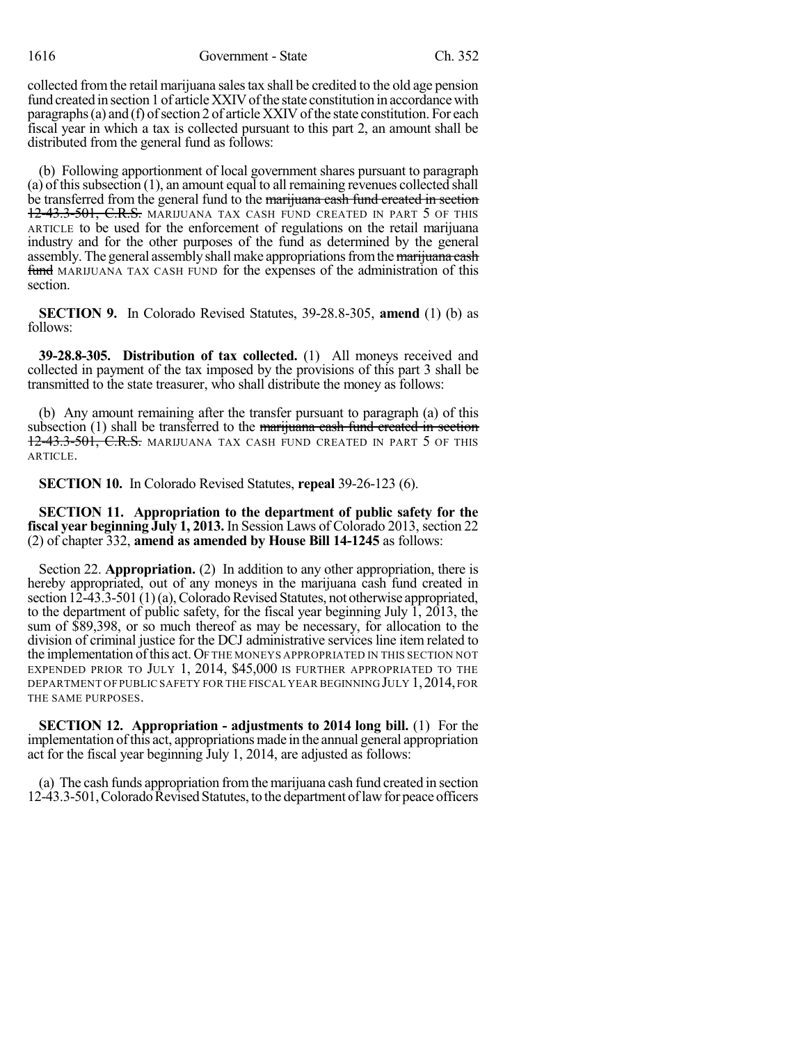1616 Government - State Ch. 352

collected fromthe retail marijuana salestax shall be credited to the old age pension fund created in section 1 of article XXIV of the state constitution in accordance with paragraphs (a) and (f) of section 2 of article XXIV of the state constitution. For each fiscal year in which a tax is collected pursuant to this part 2, an amount shall be distributed from the general fund as follows:

(b) Following apportionment of local government shares pursuant to paragraph (a) of thissubsection (1), an amount equal to all remaining revenues collected shall be transferred from the general fund to the marijuana cash fund created in section 12-43.3-501, C.R.S. MARIJUANA TAX CASH FUND CREATED IN PART 5 OF THIS ARTICLE to be used for the enforcement of regulations on the retail marijuana industry and for the other purposes of the fund as determined by the general assembly. The general assembly shall make appropriations from the marijuana cash fund MARIJUANA TAX CASH FUND for the expenses of the administration of this section.

**SECTION 9.** In Colorado Revised Statutes, 39-28.8-305, **amend** (1) (b) as follows:

**39-28.8-305. Distribution of tax collected.** (1) All moneys received and collected in payment of the tax imposed by the provisions of this part 3 shall be transmitted to the state treasurer, who shall distribute the money as follows:

(b) Any amount remaining after the transfer pursuant to paragraph (a) of this subsection  $(1)$  shall be transferred to the marijuana cash fund created in section 12-43.3-501, C.R.S. MARIJUANA TAX CASH FUND CREATED IN PART 5 OF THIS ARTICLE.

**SECTION 10.** In Colorado Revised Statutes, **repeal** 39-26-123 (6).

**SECTION 11. Appropriation to the department of public safety for the fiscal year beginning July 1, 2013.** In Session Laws of Colorado 2013, section 22 (2) of chapter 332, **amend as amended by House Bill 14-1245** as follows:

Section 22. **Appropriation.** (2) In addition to any other appropriation, there is hereby appropriated, out of any moneys in the marijuana cash fund created in section  $12-43.3-501(1)(a)$ , Colorado Revised Statutes, not otherwise appropriated, to the department of public safety, for the fiscal year beginning July 1, 2013, the sum of \$89,398, or so much thereof as may be necessary, for allocation to the division of criminal justice for the DCJ administrative services line item related to the implementation ofthis act. OF THE MONEYS APPROPRIATED IN THIS SECTION NOT EXPENDED PRIOR TO JULY 1, 2014, \$45,000 IS FURTHER APPROPRIATED TO THE DEPARTMENT OF PUBLIC SAFETY FOR THE FISCAL YEAR BEGINNING JULY 1,2014, FOR THE SAME PURPOSES.

**SECTION 12. Appropriation - adjustments to 2014 long bill.** (1) For the implementation ofthis act, appropriations made in the annual general appropriation act for the fiscal year beginning July 1, 2014, are adjusted as follows:

(a) The cash funds appropriation fromthe marijuana cash fund created in section 12-43.3-501, Colorado Revised Statutes, to the department of law for peace officers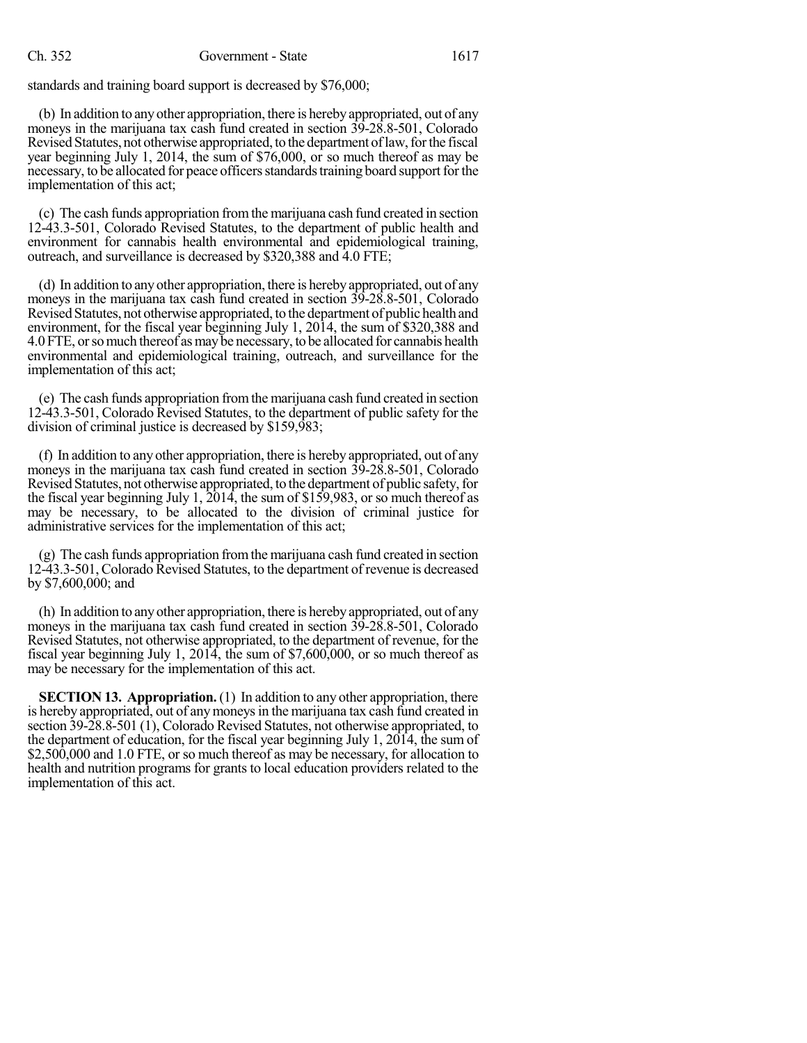standards and training board support is decreased by \$76,000;

(b) In addition to anyother appropriation, there is herebyappropriated, out of any moneys in the marijuana tax cash fund created in section 39-28.8-501, Colorado Revised Statutes, not otherwise appropriated, to the department of law, for the fiscal year beginning July 1, 2014, the sum of \$76,000, or so much thereof as may be necessary, to be allocated for peace officers standards training board support for the implementation of this act;

(c) The cash funds appropriation fromthe marijuana cash fund created in section 12-43.3-501, Colorado Revised Statutes, to the department of public health and environment for cannabis health environmental and epidemiological training, outreach, and surveillance is decreased by \$320,388 and 4.0 FTE;

(d) In addition to anyother appropriation, there is herebyappropriated, out of any moneys in the marijuana tax cash fund created in section 39-28.8-501, Colorado Revised Statutes, not otherwise appropriated, to the department of public health and environment, for the fiscal year beginning July 1, 2014, the sum of \$320,388 and 4.0 FTE, or so much thereof as may be necessary, to be allocated for cannabis health environmental and epidemiological training, outreach, and surveillance for the implementation of this act;

(e) The cash funds appropriation fromthe marijuana cash fund created in section 12-43.3-501, Colorado Revised Statutes, to the department of public safety for the division of criminal justice is decreased by \$159,983;

(f) In addition to any other appropriation, there is hereby appropriated, out of any moneys in the marijuana tax cash fund created in section 39-28.8-501, Colorado Revised Statutes, not otherwise appropriated, to the department of public safety, for the fiscal year beginning July 1, 2014, the sum of \$159,983, or so much thereof as may be necessary, to be allocated to the division of criminal justice for administrative services for the implementation of this act;

(g) The cash funds appropriation fromthe marijuana cash fund created in section 12-43.3-501,Colorado Revised Statutes, to the department of revenue is decreased by \$7,600,000; and

(h) In addition to anyother appropriation, there is herebyappropriated, out of any moneys in the marijuana tax cash fund created in section 39-28.8-501, Colorado Revised Statutes, not otherwise appropriated, to the department of revenue, for the fiscal year beginning July 1, 2014, the sum of \$7,600,000, or so much thereof as may be necessary for the implementation of this act.

**SECTION 13. Appropriation.** (1) In addition to any other appropriation, there is hereby appropriated, out of anymoneysin the marijuana tax cash fund created in section 39-28.8-501 (1), Colorado Revised Statutes, not otherwise appropriated, to the department of education, for the fiscal year beginning July 1, 2014, the sum of \$2,500,000 and 1.0 FTE, or so much thereof as may be necessary, for allocation to health and nutrition programs for grants to local education providers related to the implementation of this act.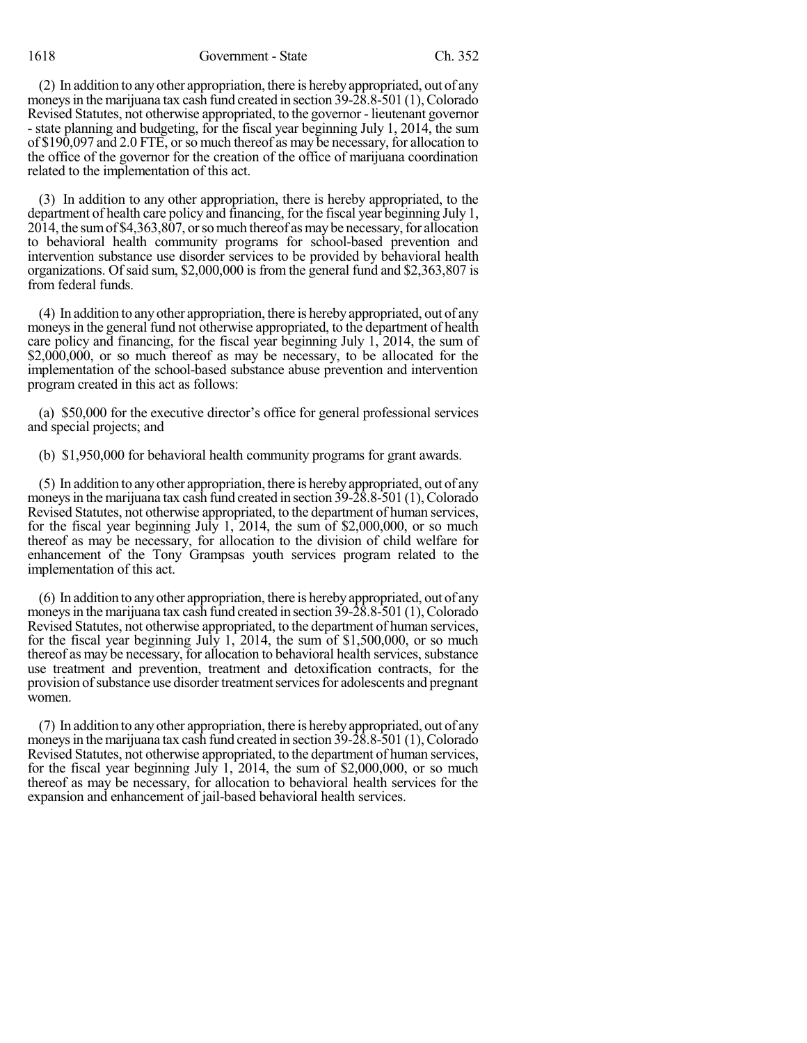1618 Government - State Ch. 352

(2) In addition to anyother appropriation, there is herebyappropriated, out of any moneys in the marijuana tax cash fund created in section  $39-28.8-501$  (1), Colorado Revised Statutes, not otherwise appropriated, to the governor - lieutenant governor - state planning and budgeting, for the fiscal year beginning July 1, 2014, the sum of \$190,097 and 2.0 FTE, orso much thereof as may be necessary, for allocation to the office of the governor for the creation of the office of marijuana coordination related to the implementation of this act.

(3) In addition to any other appropriation, there is hereby appropriated, to the department of health care policy and financing, for the fiscal year beginning July 1, 2014, the sumof \$4,363,807, orsomuch thereof asmaybe necessary,for allocation to behavioral health community programs for school-based prevention and intervention substance use disorder services to be provided by behavioral health organizations. Of said sum,  $$2,000,000$  is from the general fund and  $$2,363,807$  is from federal funds.

(4) In addition to anyother appropriation, there is herebyappropriated, out of any moneys in the general fund not otherwise appropriated, to the department of health care policy and financing, for the fiscal year beginning July 1, 2014, the sum of \$2,000,000, or so much thereof as may be necessary, to be allocated for the implementation of the school-based substance abuse prevention and intervention program created in this act as follows:

(a) \$50,000 for the executive director's office for general professional services and special projects; and

(b) \$1,950,000 for behavioral health community programs for grant awards.

(5) In addition to anyother appropriation, there is herebyappropriated, out of any moneys in the marijuana tax cash fund created in section  $39-28.8-501$  (1), Colorado Revised Statutes, not otherwise appropriated, to the department of human services, for the fiscal year beginning July 1, 2014, the sum of \$2,000,000, or so much thereof as may be necessary, for allocation to the division of child welfare for enhancement of the Tony Grampsas youth services program related to the implementation of this act.

(6) In addition to anyother appropriation, there is herebyappropriated, out of any moneys in the marijuana tax cash fund created in section  $39-28.8-501$  (1), Colorado Revised Statutes, not otherwise appropriated, to the department of human services, for the fiscal year beginning July 1, 2014, the sum of \$1,500,000, or so much thereof as may be necessary, for allocation to behavioral health services, substance use treatment and prevention, treatment and detoxification contracts, for the provision of substance use disorder treatment services for adolescents and pregnant women.

(7) In addition to anyother appropriation, there is herebyappropriated, out of any moneys in the marijuana tax cash fund created in section  $39-28.8-501$  (1), Colorado Revised Statutes, not otherwise appropriated, to the department of human services, for the fiscal year beginning July 1, 2014, the sum of \$2,000,000, or so much thereof as may be necessary, for allocation to behavioral health services for the expansion and enhancement of jail-based behavioral health services.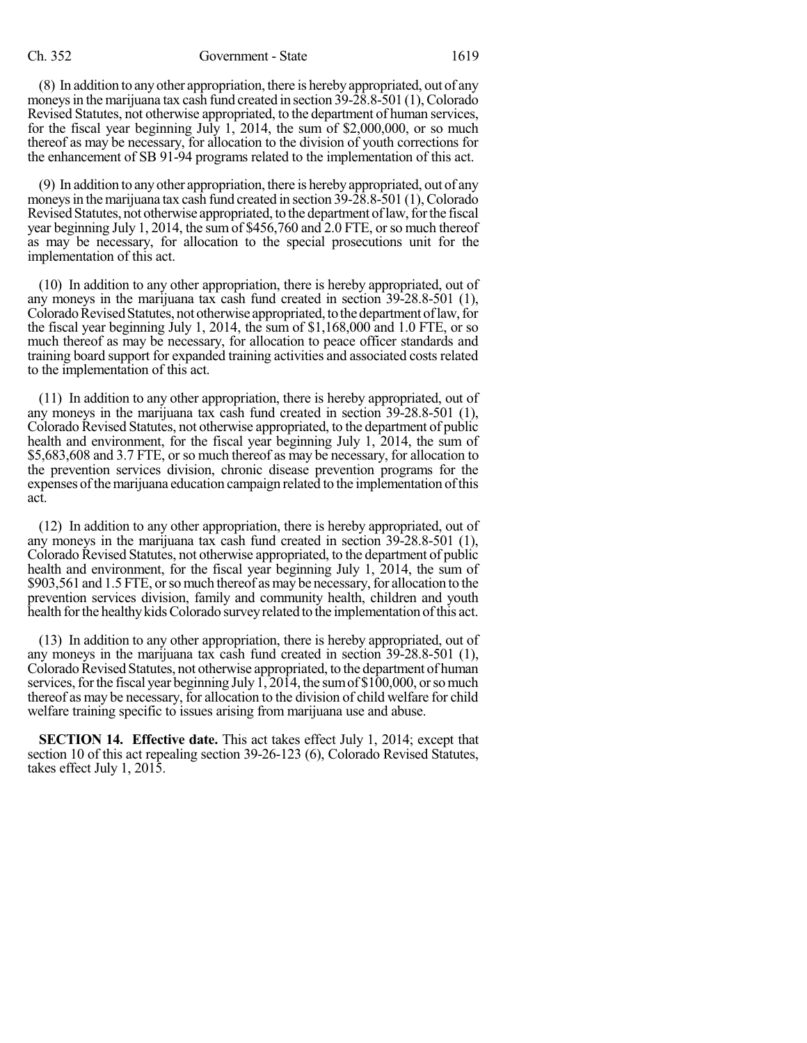(8) In addition to anyother appropriation, there is herebyappropriated, out of any moneys in the marijuana tax cash fund created in section 39-28.8-501 (1), Colorado Revised Statutes, not otherwise appropriated, to the department of human services, for the fiscal year beginning July 1, 2014, the sum of \$2,000,000, or so much thereof as may be necessary, for allocation to the division of youth corrections for the enhancement of SB 91-94 programs related to the implementation of this act.

(9) In addition to anyother appropriation, there is herebyappropriated, out of any moneys in the marijuana tax cash fund created in section  $39-28.8-501$  (1), Colorado Revised Statutes, not otherwise appropriated, to the department of law, for the fiscal year beginning July 1, 2014, the sum of \$456,760 and 2.0 FTE, or so much thereof as may be necessary, for allocation to the special prosecutions unit for the implementation of this act.

(10) In addition to any other appropriation, there is hereby appropriated, out of any moneys in the marijuana tax cash fund created in section 39-28.8-501 (1), Colorado Revised Statutes, not otherwise appropriated, to the department of law, for the fiscal year beginning July 1, 2014, the sum of \$1,168,000 and 1.0 FTE, or so much thereof as may be necessary, for allocation to peace officer standards and training board support for expanded training activities and associated costs related to the implementation of this act.

(11) In addition to any other appropriation, there is hereby appropriated, out of any moneys in the marijuana tax cash fund created in section 39-28.8-501 (1), Colorado Revised Statutes, not otherwise appropriated, to the department of public health and environment, for the fiscal year beginning July 1, 2014, the sum of \$5,683,608 and 3.7 FTE, or so much thereof as may be necessary, for allocation to the prevention services division, chronic disease prevention programs for the expenses of the marijuana education campaign related to the implementation of this act.

(12) In addition to any other appropriation, there is hereby appropriated, out of any moneys in the marijuana tax cash fund created in section 39-28.8-501 (1), Colorado Revised Statutes, not otherwise appropriated, to the department of public health and environment, for the fiscal year beginning July 1, 2014, the sum of \$903,561 and 1.5 FTE, or so much thereof as may be necessary, for allocation to the prevention services division, family and community health, children and youth health for the healthy kids Colorado survey related to the implementation of this act.

(13) In addition to any other appropriation, there is hereby appropriated, out of any moneys in the marijuana tax cash fund created in section 39-28.8-501 (1), Colorado Revised Statutes, not otherwise appropriated, to the department of human services, for the fiscal year beginning July  $\hat{1,2014}$ , the sum of \$100,000, or so much thereof as may be necessary, for allocation to the division of child welfare for child welfare training specific to issues arising from marijuana use and abuse.

**SECTION 14. Effective date.** This act takes effect July 1, 2014; except that section 10 of this act repealing section 39-26-123 (6), Colorado Revised Statutes, takes effect July 1, 2015.